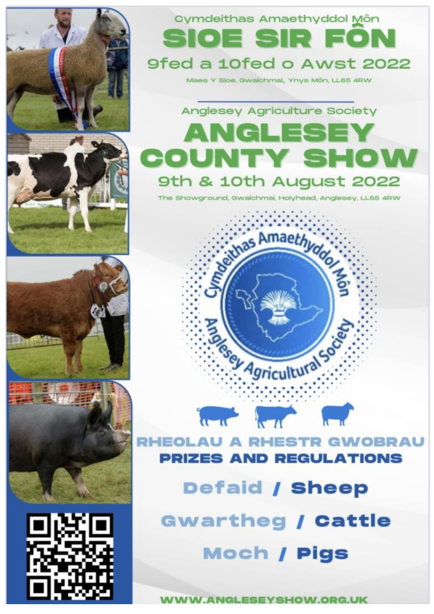

# Cymdeithas Amaethyddol Môn Sioe sir foi 9fed a 10fed o Awst 2022

Maes Y Sice, Gwalchmai, Ynys Môn, LL65 4RW



The Showground, Gwalchmai, Holyhead, Anglesey, LL65 4RW

Seithas Amaethyddor







**RHEOLAU A RHESTR GWOBRAU PRIZES AND REGULATIONS** 

 $\frac{1}{2} \left( \frac{1}{2} \right)^2 + \frac{1}{2} \left( \frac{1}{2} \right)^2 + \frac{1}{2} \left( \frac{1}{2} \right)^2$ 

Rey Agricultural Society

**Defaid / Sheep** 

**Gwartheg / Cattle Moch / Pigs** 

**WWW.ANGLESEYSHOW.ORG.UK**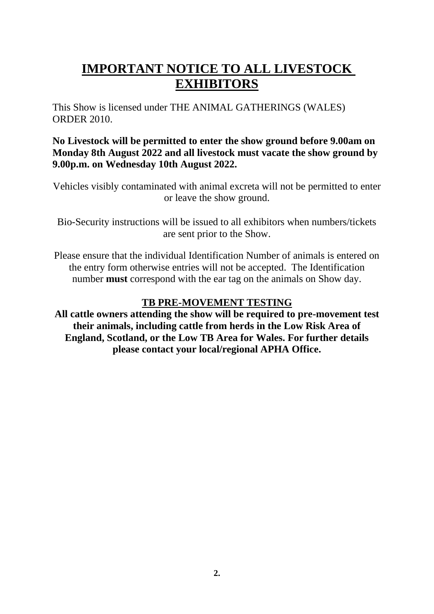# **IMPORTANT NOTICE TO ALL LIVESTOCK EXHIBITORS**

This Show is licensed under THE ANIMAL GATHERINGS (WALES) ORDER 2010.

# **No Livestock will be permitted to enter the show ground before 9.00am on Monday 8th August 2022 and all livestock must vacate the show ground by 9.00p.m. on Wednesday 10th August 2022.**

Vehicles visibly contaminated with animal excreta will not be permitted to enter or leave the show ground.

Bio-Security instructions will be issued to all exhibitors when numbers/tickets are sent prior to the Show.

Please ensure that the individual Identification Number of animals is entered on the entry form otherwise entries will not be accepted. The Identification number **must** correspond with the ear tag on the animals on Show day.

# **TB PRE-MOVEMENT TESTING**

**All cattle owners attending the show will be required to pre-movement test their animals, including cattle from herds in the Low Risk Area of England, Scotland, or the Low TB Area for Wales. For further details please contact your local/regional APHA Office.**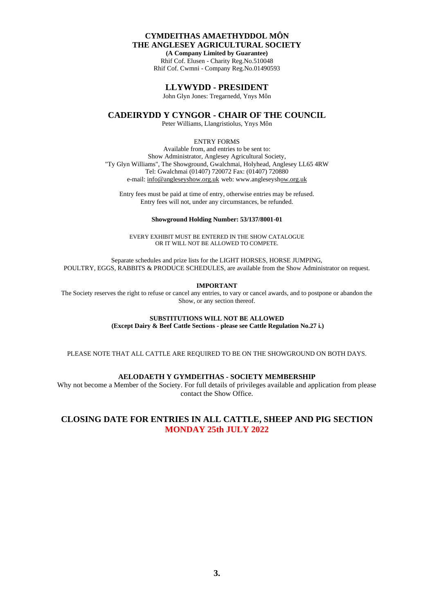### **CYMDEITHAS AMAETHYDDOL MÔN THE ANGLESEY AGRICULTURAL SOCIETY**

**(A Company Limited by Guarantee)** Rhif Cof. Elusen - Charity Reg.No.510048 Rhif Cof. Cwmni - Company Reg.No.01490593

### **LLYWYDD - PRESIDENT**

John Glyn Jones: Tregarnedd, Ynys Môn

**CADEIRYDD Y CYNGOR - CHAIR OF THE COUNCIL**

Peter Williams, Llangristiolus, Ynys Môn

### ENTRY FORMS

Available from, and entries to be sent to: Show Administrator, Anglesey Agricultural Society, "Ty Glyn Williams", The Showground, Gwalchmai, Holyhead, Anglesey LL65 4RW Tel: Gwalchmai (01407) 720072 Fax: (01407) 720880 e-mail: info@angleseyshow.org.uk web: www.angleseyshow.org.uk

Entry fees must be paid at time of entry, otherwise entries may be refused. Entry fees will not, under any circumstances, be refunded.

### **Showground Holding Number: 53/137/8001-01**

EVERY EXHIBIT MUST BE ENTERED IN THE SHOW CATALOGUE OR IT WILL NOT BE ALLOWED TO COMPETE.

Separate schedules and prize lists for the LIGHT HORSES, HORSE JUMPING, POULTRY, EGGS, RABBITS & PRODUCE SCHEDULES, are available from the Show Administrator on request.

**IMPORTANT**

The Society reserves the right to refuse or cancel any entries, to vary or cancel awards, and to postpone or abandon the Show, or any section thereof.

**SUBSTITUTIONS WILL NOT BE ALLOWED**

**(Except Dairy & Beef Cattle Sections - please see Cattle Regulation No.27 i.)**

PLEASE NOTE THAT ALL CATTLE ARE REQUIRED TO BE ON THE SHOWGROUND ON BOTH DAYS.

### **AELODAETH Y GYMDEITHAS - SOCIETY MEMBERSHIP**

Why not become a Member of the Society. For full details of privileges available and application from please contact the Show Office.

### **CLOSING DATE FOR ENTRIES IN ALL CATTLE, SHEEP AND PIG SECTION MONDAY 25th JULY 2022**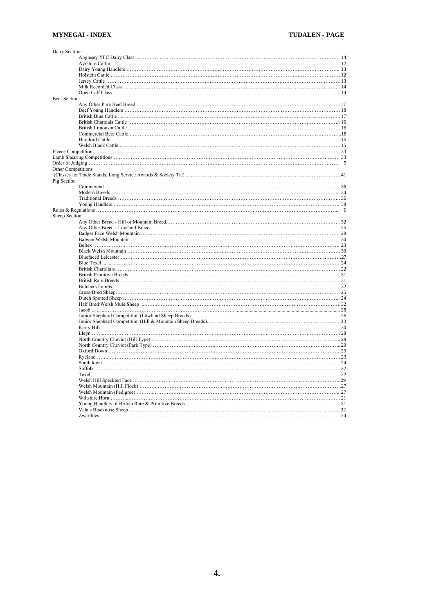| Dairy Section:            |  |
|---------------------------|--|
|                           |  |
|                           |  |
|                           |  |
|                           |  |
|                           |  |
|                           |  |
|                           |  |
| <b>Beef Section:</b>      |  |
|                           |  |
|                           |  |
|                           |  |
|                           |  |
|                           |  |
|                           |  |
|                           |  |
|                           |  |
|                           |  |
|                           |  |
|                           |  |
| <b>Other Competitions</b> |  |
|                           |  |
| Pig Section               |  |
|                           |  |
|                           |  |
|                           |  |
|                           |  |
|                           |  |
| Sheep Section             |  |
|                           |  |
|                           |  |
|                           |  |
|                           |  |
|                           |  |
|                           |  |
|                           |  |
|                           |  |
|                           |  |
|                           |  |
|                           |  |
|                           |  |
|                           |  |
|                           |  |
|                           |  |
|                           |  |
|                           |  |
|                           |  |
|                           |  |
|                           |  |
|                           |  |
|                           |  |
|                           |  |
|                           |  |
|                           |  |
|                           |  |
|                           |  |
|                           |  |
|                           |  |
|                           |  |
|                           |  |
|                           |  |
|                           |  |
|                           |  |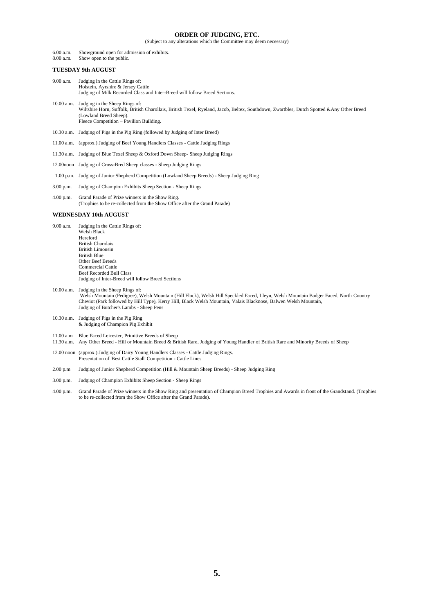### **ORDER OF JUDGING, ETC.**

(Subject to any alterations which the Committee may deem necessary)

6.00 a.m. Showground open for admission of exhibits.<br>8.00 a.m. Show open to the public.

Show open to the public.

### **TUESDAY 9th AUGUST**

- 9.00 a.m. Judging in the Cattle Rings of: Holstein, Ayrshire & Jersey Cattle Judging of Milk Recorded Class and Inter-Breed will follow Breed Sections.
- 10.00 a.m. Judging in the Sheep Rings of: Wiltshire Horn, Suffolk, British Charollais, British Texel, Ryeland, Jacob, Beltex, Southdown, Zwartbles, Dutch Spotted &Any Other Breed (Lowland Breed Sheep). Fleece Competition – Pavilion Building.
- 10.30 a.m. Judging of Pigs in the Pig Ring (followed by Judging of Inter Breed)
- 11.00 a.m. (approx.) Judging of Beef Young Handlers Classes Cattle Judging Rings
- 11.30 a.m. Judging of Blue Texel Sheep & Oxford Down Sheep- Sheep Judging Rings
- 12.00noon Judging of Cross-Bred Sheep classes Sheep Judging Rings
- 1.00 p.m. Judging of Junior Shepherd Competition (Lowland Sheep Breeds) Sheep Judging Ring
- 3.00 p.m. Judging of Champion Exhibits Sheep Section Sheep Rings

4.00 p.m. Grand Parade of Prize winners in the Show Ring. (Trophies to be re-collected from the Show Office after the Grand Parade)

#### **WEDNESDAY 10th AUGUST**

- 9.00 a.m. Judging in the Cattle Rings of: Welsh Black Hereford British Charolais British Limousin British Blue Other Beef Breeds Commercial Cattle Beef Recorded Bull Class Judging of Inter-Breed will follow Breed Sections
- 10.00 a.m. Judging in the Sheep Rings of: Welsh Mountain (Pedigree), Welsh Mountain (Hill Flock), Welsh Hill Speckled Faced, Lleyn, Welsh Mountain Badger Faced, North Country Cheviot (Park followed by Hill Type), Kerry Hill, Black Welsh Mountain, Valais Blacknose, Balwen Welsh Mountain, Judging of Butcher's Lambs - Sheep Pens
- 10.30 a.m. Judging of Pigs in the Pig Ring & Judging of Champion Pig Exhibit
- 11.00 a.m Blue Faced Leicester, Primitive Breeds of Sheep
- 11.30 a.m. Any Other Breed Hill or Mountain Breed & British Rare, Judging of Young Handler of British Rare and Minority Breeds of Sheep
- 12.00 noon (approx.) Judging of Dairy Young Handlers Classes Cattle Judging Rings. Presentation of 'Best Cattle Stall' Competition - Cattle Lines
- 2.00 p.m Judging of Junior Shepherd Competition (Hill & Mountain Sheep Breeds) Sheep Judging Ring
- 3.00 p.m. Judging of Champion Exhibits Sheep Section Sheep Rings
- 4.00 p.m. Grand Parade of Prize winners in the Show Ring and presentation of Champion Breed Trophies and Awards in front of the Grandstand. (Trophies to be re-collected from the Show Office after the Grand Parade).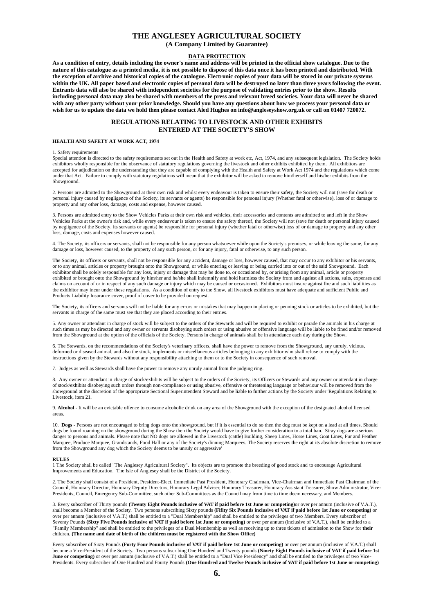### **THE ANGLESEY AGRICULTURAL SOCIETY**

**(A Company Limited by Guarantee)**

### **DATA PROTECTION**

**As a condition of entry, details including the owner's name and address will be printed in the official show catalogue. Due to the nature of this catalogue as a printed media, it is not possible to dispose of this data once it has been printed and distributed. With the exception of archive and historical copies of the catalogue. Electronic copies of your data will be stored in our private systems within the UK. All paper based and electronic copies of personal data will be destroyed no later than three years following the event. Entrants data will also be shared with independent societies for the purpose of validating entries prior to the show. Results including personal data may also be shared with members of the press and relevant breed societies. Your data will never be shared with any other party without your prior knowledge. Should you have any questions about how we process your personal data or wish for us to update the data we hold then please contact Aled Hughes on info@angleseyshow.org.uk or call on 01407 720072.**

### **REGULATIONS RELATING TO LIVESTOCK AND OTHER EXHIBITS ENTERED AT THE SOCIETY'S SHOW**

#### **HEALTH AND SAFETY AT WORK ACT, 1974**

#### 1. Safety requirements

Special attention is directed to the safety requirements set out in the Health and Safety at work etc, Act, 1974, and any subsequent legislation. The Society holds exhibitors wholly responsible for the observance of statutory regulations governing the livestock and other exhibits exhibited by them. All exhibitors are accepted for adjudication on the understanding that they are capable of complying with the Health and Safety at Work Act 1974 and the regulations which come under that Act. Failure to comply with statutory regulations will mean that the exhibitor will be asked to remove him/herself and his/her exhibits from the Showground.

2. Persons are admitted to the Showground at their own risk and whilst every endeavour is taken to ensure their safety, the Society will not (save for death or personal injury caused by negligence of the Society, its servants or agents) be responsible for personal injury (Whether fatal or otherwise), loss of or damage to property and any other loss, damage, costs and expense, however caused.

3. Persons are admitted entry to the Show Vehicles Parks at their own risk and vehicles, their accessories and contents are admitted to and left in the Show Vehicles Parks at the owner's risk and, while every endeavour is taken to ensure the safety thereof, the Society will not (save for death or personal injury caused by negligence of the Society, its servants or agents) be responsible for personal injury (whether fatal or otherwise) loss of or damage to property and any other loss, damage, costs and expenses however caused.

4. The Society, its officers or servants, shall not be responsible for any person whatsoever while upon the Society's premises, or while leaving the same, for any damage or loss, however caused, to the property of any such person, or for any injury, fatal or otherwise, to any such person.

The Society, its officers or servants, shall not be responsible for any accident, damage or loss, however caused, that may occur to any exhibitor or his servants, or to any animal, articles or property brought onto the Showground, or while entering or leaving or being carried into or out of the said Showground. Each exhibitor shall be solely responsible for any loss, injury or damage that may be done to, or occasioned by, or arising from any animal, article or property exhibited or brought onto the Showground by him/her and he/she shall indemnify and hold harmless the Society from and against all actions, suits, expenses and claims on account of or in respect of any such damage or injury which may be caused or occasioned. Exhibitors must insure against fire and such liabilities as the exhibitor may incur under these regulations. As a condition of entry to the Show, all livestock exhibitors must have adequate and sufficient Public and Products Liability Insurance cover, proof of cover to be provided on request.

The Society, its officers and servants will not be liable for any errors or mistakes that may happen in placing or penning stock or articles to be exhibited, but the servants in charge of the same must see that they are placed according to their entries.

5. Any owner or attendant in charge of stock will be subject to the orders of the Stewards and will be required to exhibit or parade the animals in his charge at such times as may be directed and any owner or servants disobeying such orders or using abusive or offensive language will be liable to be fined and/or removed from the Showground at the option of the officials of the Society. Persons in charge of animals shall be in attendance each day during the Show.

6. The Stewards, on the recommendations of the Society's veterinary officers, shall have the power to remove from the Showground, any unruly, vicious, deformed or diseased animal, and also the stock, implements or miscellaneous articles belonging to any exhibitor who shall refuse to comply with the instructions given by the Stewards without any responsibility attaching to them or to the Society in consequence of such removal.

7. Judges as well as Stewards shall have the power to remove any unruly animal from the judging ring.

8. Any owner or attendant in charge of stock/exhibits will be subject to the orders of the Society, its Officers or Stewards and any owner or attendant in charge of stock/exhibits disobeying such orders through non-compliance or using abusive, offensive or threatening language or behaviour will be removed from the showground at the discretion of the appropriate Sectional Superintendent Steward and be liable to further actions by the Society under 'Regulations Relating to Livestock, item 21.

9. **Alcohol** - It will be an evictable offence to consume alcoholic drink on any area of the Showground with the exception of the designated alcohol licensed areas.

10. **Dogs** - Persons are not encouraged to bring dogs onto the showground, but if it is essential to do so then the dog must be kept on a lead at all times. Should dogs be found roaming on the showground during the Show then the Society would have to give further consideration to a total ban. Stray dogs are a serious danger to persons and animals. Please note that NO dogs are allowed in the Livestock (cattle) Building, Sheep Lines, Horse Lines, Goat Lines, Fur and Feather Marquee, Produce Marquee, Grandstands, Food Hall or any of the Society's dinning Marquees. The Society reserves the right at its absolute discretion to remove from the Showground any dog which the Society deems to be unruly or aggressive'

#### **RULES**

1 The Society shall be called "The Anglesey Agricultural Society". Its objects are to promote the breeding of good stock and to encourage Agricultural Improvements and Education. The Isle of Anglesey shall be the District of the Society.

2. The Society shall consist of a President, President-Elect, Immediate Past President, Honorary Chairman, Vice-Chairman and Immediate Past Chairman of the Council, Honorary Director, Honorary Deputy Directors, Honorary Legal Adviser, Honorary Treasurer, Honorary Assistant Treasurer, Show Administrator, Vice-Presidents, Council, Emergency Sub-Committee, such other Sub-Committees as the Council may from time to time deem necessary, and Members.

3. Every subscriber of Thirty pounds **(Twenty Eight Pounds inclusive of VAT if paid before 1st June or competing)**or over per annum (inclusive of V.A.T.), shall become a Member of the Society. Two persons subscribing Sixty pounds **(Fifity Six Pounds inclusive of VAT if paid before 1st June or competing)** or over per annum (inclusive of V.A.T.) shall be entitled to a "Dual Membership" and shall be entitled to the privileges of two Members. Every subscriber of Seventy Pounds **(Sixty Five Pounds inclusive of VAT if paid before 1st June or competing)** or over per annum (inclusive of V.A.T.), shall be entitled to a "Family Membership" and shall be entitled to the privileges of a Dual Membership as well as receiving up to three tickets of admission to the Show for **their** children. **(The name and date of birth of the children must be registered with the Show Office)**

Every subscriber of Sixty Pounds **(Forty Four Pounds inclusive of VAT if paid before 1st June or competing)** or over per annum (inclusive of V.A.T.) shall become a Vice-President of the Society. Two persons subscribing One Hundred and Twenty pounds **(Ninety Eight Pounds inclusive of VAT if paid before 1st**  June or competing) or over per annum (inclusive of V.A.T.) shall be entitled to a "Dual Vice Presidency" and shall be entitled to the privileges of two Vice-Presidents. Every subscriber of One Hundred and Fourty Pounds **(One Hundred and Twelve Pounds inclusive of VAT if paid before 1st June or competing)**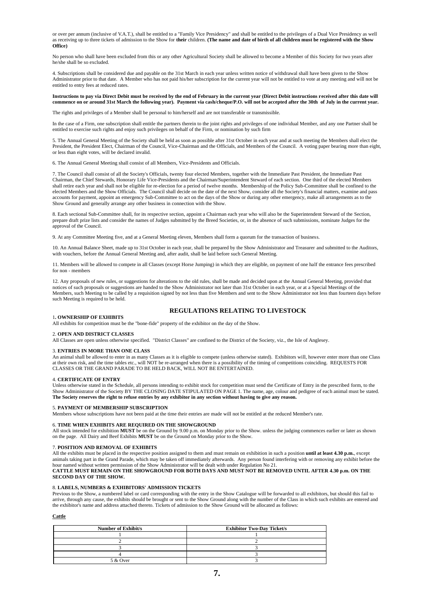or over per annum (inclusive of V.A.T.), shall be entitled to a "Family Vice Presidency" and shall be entitled to the privileges of a Dual Vice Presidency as well as receiving up to three tickets of admission to the Show for **their** children. **(The name and date of birth of all children must be registered with the Show Office)**

No person who shall have been excluded from this or any other Agricultural Society shall be allowed to become a Member of this Society for two years after he/she shall be so excluded.

4. Subscriptions shall be considered due and payable on the 31st March in each year unless written notice of withdrawal shall have been given to the Show Administrator prior to that date. A Member who has not paid his/her subscription for the current year will not be entitled to vote at any meeting and will not be entitled to entry fees at reduced rates.

#### **Instructions to pay via Direct Debit must be received by the end of February in the current year (Direct Debit instructions received after this date will commence on or around 31st March the following year). Payment via cash/cheque/P.O. will not be accepted after the 30th of July in the current year.**

The rights and privileges of a Member shall be personal to him/herself and are not transferable or transmissible.

In the case of a Firm, one subscription shall entitle the partners therein to the joint rights and privileges of one individual Member, and any one Partner shall be entitled to exercise such rights and enjoy such privileges on behalf of the Firm, or nomination by such firm

5. The Annual General Meeting of the Society shall be held as soon as possible after 31st October in each year and at such meeting the Members shall elect the President, the President Elect, Chairman of the Council, Vice-Chairman and the Officials, and Members of the Council. A voting paper bearing more than eight, or less than eight votes, will be declared invalid.

6. The Annual General Meeting shall consist of all Members, Vice-Presidents and Officials.

7. The Council shall consist of all the Society's Officials, twenty four elected Members, together with the Immediate Past President, the Immediate Past Chairman, the Chief Stewards, Honorary Life Vice-Presidents and the Chairman/Superintendent Steward of each section. One third of the elected Members shall retire each year and shall not be eligible for re-election for a period of twelve months. Membership of the Policy Sub-Committee shall be confined to the elected Members and the Show Officials. The Council shall decide on the date of the next Show, consider all the Society's financial matters, examine and pass accounts for payment, appoint an emergency Sub-Committee to act on the days of the Show or during any other emergency, make all arrangements as to the Show Ground and generally arrange any other business in connection with the Show.

8. Each sectional Sub-Committee shall, for its respective section, appoint a Chairman each year who will also be the Superintendent Steward of the Section, prepare draft prize lists and consider the names of Judges submitted by the Breed Societies, or, in the absence of such submissions, nominate Judges for the approval of the Council.

9. At any Committee Meeting five, and at a General Meeting eleven, Members shall form a quorum for the transaction of business.

10. An Annual Balance Sheet, made up to 31st October in each year, shall be prepared by the Show Administrator and Treasurer and submitted to the Auditors, with vouchers, before the Annual General Meeting and, after audit, shall be laid before such General Meeting.

11. Members will be allowed to compete in all Classes (except Horse Jumping) in which they are eligible, on payment of one half the entrance fees prescribed for non - members

12. Any proposals of new rules, or suggestions for alterations to the old rules, shall be made and decided upon at the Annual General Meeting, provided that notices of such proposals or suggestions are handed to the Show Administrator not later than 31st October in each year, or at a Special Meetings of the Members, such Meeting to be called by a requisition signed by not less than five Members and sent to the Show Administrator not less than fourteen days before such Meeting is required to be held.

### **REGULATIONS RELATING TO LIVESTOCK**

#### 1**. OWNERSHIP OF EXHIBITS**

All exhibits for competition must be the "bone-fide" property of the exhibitor on the day of the Show.

#### 2. **OPEN AND DISTRICT CLASSES**

All Classes are open unless otherwise specified. "District Classes" are confined to the District of the Society, viz., the Isle of Anglesey.

#### 3. **ENTRIES IN MORE THAN ONE CLASS**

An animal shall be allowed to enter in as many Classes as it is eligible to compete (unless otherwise stated). Exhibitors will, however enter more than one Class at their own risk, and the time tables etc., will NOT be re-arranged when there is a possibility of the timing of competitions coinciding. REQUESTS FOR CLASSES OR THE GRAND PARADE TO BE HELD BACK, WILL NOT BE ENTERTAINED.

#### 4. **CERTIFICATE OF ENTRY**

Unless otherwise stated in the Schedule, all persons intending to exhibit stock for competition must send the Certificate of Entry in the prescribed form, to the Show Administrator of the Society BY THE CLOSING DATE STIPULATED ON PAGE 1. The name, age, colour and pedigree of each animal must be stated. **The Society reserves the right to refuse entries by any exhibitor in any section without having to give any reason.**

#### 5. **PAYMENT OF MEMBERSHIP SUBSCRIPTION**

Members whose subscriptions have not been paid at the time their entries are made will not be entitled at the reduced Member's rate.

#### 6. **TIME WHEN EXHIBITS ARE REQUIRED ON THE SHOWGROUND**

All stock intended for exhibition **MUST** be on the Ground by 9.00 p.m. on Monday prior to the Show. unless the judging commences earlier or later as shown on the page. All Dairy and Beef Exhibits **MUST** be on the Ground on Monday prior to the Show.

#### 7. **POSITION AND REMOVAL OF EXHIBITS**

All the exhibits must be placed in the respective position assigned to them and must remain on exhibition in such a position **until at least 4.30 p.m.**, except animals taking part in the Grand Parade, which may be taken off immediately afterwards. Any person found interfering with or removing any exhibit before the hour named without written permission of the Show Administrator will be dealt with under Regulation No 21.

#### **CATTLE MUST REMAIN ON THE SHOWGROUND FOR BOTH DAYS AND MUST NOT BE REMOVED UNTIL AFTER 4.30 p.m. ON THE SECOND DAY OF THE SHOW.**

#### 8. **LABELS, NUMBERS & EXHIBITORS' ADMISSION TICKETS**

Previous to the Show, a numbered label or card corresponding with the entry in the Show Catalogue will be forwarded to all exhibitors, but should this fail to arrive, through any cause, the exhibits should be brought or sent to the Show Ground along with the number of the Class in which such exhibits are entered and the exhibitor's name and address attached thereto. Tickets of admission to the Show Ground will be allocated as follows:

#### **Cattle**

| <b>Number of Exhibit/s</b> | <b>Exhibitor Two-Day Ticket/s</b> |
|----------------------------|-----------------------------------|
|                            |                                   |
|                            |                                   |
|                            |                                   |
|                            |                                   |
| 5 & Over                   |                                   |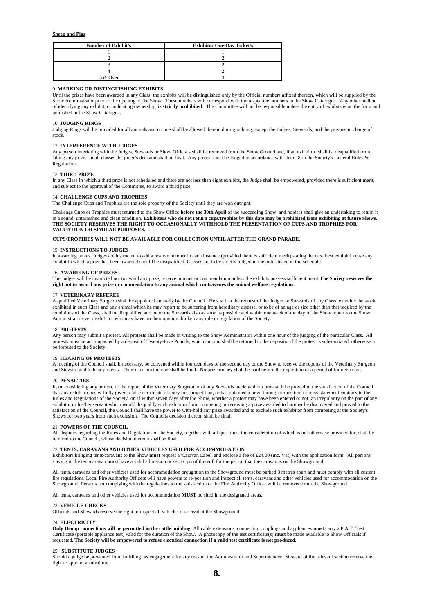#### **Sheep and Pigs**

| <b>Number of Exhibit/s</b> | <b>Exhibitor One-Day Ticket/s</b> |
|----------------------------|-----------------------------------|
|                            |                                   |
|                            |                                   |
|                            |                                   |
|                            |                                   |
| 5 & Over                   |                                   |

#### 9. **MARKING OR DISTINGUISHING EXHIBITS**

Until the prizes have been awarded in any Class, the exhibits will be distinguished only by the Official numbers affixed thereon, which will be supplied by the Show Administrator prior to the opening of the Show. These numbers will correspond with the respective numbers in the Show Catalogue. Any other method of identifying any exhibit, or indicating ownership, **is strictly prohibited**. The Committee will not be responsible unless the entry of exhibits is on the form and published in the Show Catalogue.

### 10. **JUDGING RINGS**

Judging Rings will be provided for all animals and no one shall be allowed therein during judging, except the Judges, Stewards, and the persons in charge of stock.

#### 12. **INTERFERENCE WITH JUDGES**

Any person interfering with the Judges, Stewards or Show Officials shall be removed from the Show Ground and, if an exhibitor, shall be disqualified from taking any prize. In all classes the judge's decision shall be final. Any protest must be lodged in accordance with item 18 in the Society's General Rules & Regulations.

#### 13. **THIRD PRIZE**

In any Class in which a third prize is not scheduled and there are not less than eight exhibits, the Judge shall be empowered, provided there is sufficient merit, and subject to the approval of the Committee, to award a third prize.

#### 14. **CHALLENGE CUPS AND TROPHIES**

The Challenge Cups and Trophies are the sole property of the Society until they are won outright.

Challenge Cups or Trophies must returned to the Show Office **before the 30th April** of the succeeding Show, and holders shall give an undertaking to return it in a sound, untarnished and clean condition. **Exhibitors who do not return cups/trophies by this date may be prohibited from exhibiting at future Shows. THE SOCIETY RESERVES THE RIGHT TO OCCASIONALLY WITHHOLD THE PRESENTATION OF CUPS AND TROPHIES FOR VALUATION OR SIMILAR PURPOSES.**

#### **CUPS/TROPHIES WILL NOT BE AVAILABLE FOR COLLECTION UNTIL AFTER THE GRAND PARADE.**

#### 15. **INSTRUCTIONS TO JUDGES**

In awarding prizes, Judges are instructed to add a reserve number in each instance (provided there is sufficient merit) stating the next best exhibit in case any exhibit to which a prize has been awarded should be disqualified. Classes are to be strictly judged in the order listed in the schedule.

#### 16. **AWARDING OF PRIZES**

The Judges will be instructed not to award any prize, reserve number or commendation unless the exhibits possess sufficient merit.**The Society reserves the right not to award any prize or commendation to any animal which contravenes the animal welfare regulations.**

#### 17. **VETERINARY REFEREE**

A qualified Veterinary Surgeon shall be appointed annually by the Council. He shall, at the request of the Judges or Stewards of any Class, examine the stock exhibited in such Class and any animal which he may report to be suffering from hereditary disease, or to be of an age or size other than that required by the conditions of the Class, shall be disqualified and he or the Stewards also as soon as possible and within one week of the day of the Show report to the Show Administrator every exhibitor who may have, in their opinion, broken any rule or regulation of the Society.

#### 18. **PROTESTS**

Any person may submit a protest. All protests shall be made in writing to the Show Administrator within one hour of the judging of the particular Class. All protests must be accompanied by a deposit of Twenty-Five Pounds, which amount shall be returned to the depositor if the protest is substantiated, otherwise to be forfeited to the Society.

#### 19. **HEARING OF PROTESTS**

A meeting of the Council shall, if necessary, be convened within fourteen days of the second day of the Show to receive the reports of the Veterinary Surgeon and Steward and to hear protests. Their decision thereon shall be final. No prize money shall be paid before the expiration of a period of fourteen days.

#### 20. **PENALTIES**

If, on considering any protest, or the report of the Veterinary Surgeon or of any Stewards made without protest, it be proved to the satisfaction of the Council that any exhibitor has wilfully given a false certificate of entry for competition, or has obtained a prize through imposition or miss-statement contrary to the Rules and Regulations of the Society, or, if within seven days after the Show, whether a protest may have been entered or not, an irregularity on the part of any exhibitor or his/her servant which would disqualify such exhibitor from competing or receiving a prize awarded to him/her be discovered and proved to the satisfaction of the Council, the Council shall have the power to with-hold any prize awarded and to exclude such exhibitor from competing at the Society's Shows for two years from such exclusion. The Councils decision thereon shall be final.

#### 21. **POWERS OF THE COUNCIL**

All disputes regarding the Rules and Regulations of the Society, together with all questions, the consideration of which is not otherwise provided for, shall be referred to the Council, whose decision thereon shall be final.

### 22. **TENTS, CARAVANS AND OTHER VEHICLES USED FOR ACCOMMODATION**

Exhibitors bringing tents/caravans to the Show **must** request a 'Caravan Label' and enclose a fee of £24.00 (inc. Vat) with the application form. All persons staying in the tent/caravan **must** have a valid admission ticket, or proof thereof, for the period that the caravan is on the Showground.

All tents, caravans and other vehicles used for accommodation brought on to the Showground must be parked 3 metres apart and must comply with all current fire regulations. Local Fire Authority Officers will have powers to re-position and inspect all tents, caravans and other vehicles used for accommodation on the Showground. Persons not complying with the regulations to the satisfaction of the Fire Authority Officer will be removed from the Showground.

All tents, caravans and other vehicles used for accommodation **MUST** be sited in the designated areas.

#### 23. **VEHICLE CHECKS**

Officials and Stewards reserve the right to inspect all vehicles on arrival at the Showground.

#### 24. **ELECTRICITY**

**Only 16amp connections will be permitted in the cattle building.** All cable extensions, connecting couplings and appliances **must** carry a P.A.T. Test Certificate (portable appliance test) valid for the duration of the Show. A photocopy of the test certificate(s) **must** be made available to Show Officials if requested**. The Society will be empowered to refuse electrical connection if a valid test certificate is not produced.**

#### 25. **SUBSTITUTE JUDGES**

Should a judge be prevented from fulfilling his engagement for any reason, the Administrator and Superintendent Steward of the relevant section reserve the right to appoint a substitute.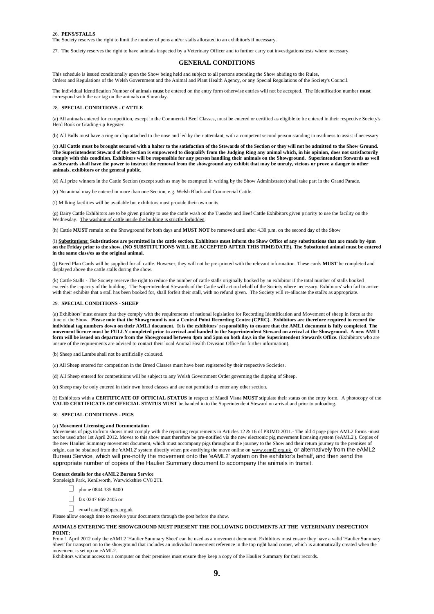#### 26. **PENS/STALLS**

The Society reserves the right to limit the number of pens and/or stalls allocated to an exhibitor/s if necessary.

27. The Society reserves the right to have animals inspected by a Veterinary Officer and to further carry out investigations/tests where necessary.

#### **GENERAL CONDITIONS**

This schedule is issued conditionally upon the Show being held and subject to all persons attending the Show abiding to the Rules, Orders and Regulations of the Welsh Government and the Animal and Plant Health Agency, or any Special Regulations of the Society's Council.

The individual Identification Number of animals **must** be entered on the entry form otherwise entries will not be accepted. The Identification number **must** correspond with the ear tag on the animals on Show day.

#### 28. **SPECIAL CONDITIONS - CATTLE**

(a) All animals entered for competition, except in the Commercial Beef Classes, must be entered or certified as eligible to be entered in their respective Society's Herd Book or Grading-up Register.

(b) All Bulls must have a ring or clap attached to the nose and led by their attendant, with a competent second person standing in readiness to assist if necessary.

(c) **All Cattle must be brought secured with a halter to the satisfaction of the Stewards of the Section or they will not be admitted to the Show Ground. The Superintendent Steward of the Section is empowered to disqualify from the Judging Ring any animal which, in his opinion, does not satisfactorily comply with this condition. Exhibitors will be responsible for any person handling their animals on the Showground. Superintendent Stewards as well as Stewards shall have the power to instruct the removal from the showground any exhibit that may be unruly, vicious or prove a danger to other animals, exhibitors or the general public.**

(d) All prize winners in the Cattle Section (except such as may be exempted in writing by the Show Administrator) shall take part in the Grand Parade.

(e) No animal may be entered in more than one Section, e.g. Welsh Black and Commercial Cattle.

(f) Milking facilities will be available but exhibitors must provide their own units.

(g) Dairy Cattle Exhibitors are to be given priority to use the cattle wash on the Tuesday and Beef Cattle Exhibitors given priority to use the facility on the Wednesday. The washing of cattle inside the building is strictly forbidden.

(h) Cattle **MUST** remain on the Showground for both days and **MUST NOT** be removed until after 4.30 p.m. on the second day of the Show

(i) **Substitutions: Substitutions are permitted in the cattle section. Exhibitors must inform the Show Office of any substitutions that are made by 4pm on the Friday prior to the show. (NO SUBSTITUTIONS WILL BE ACCEPTED AFTER THIS TIME/DATE). The Substituted animal must be entered in the same class/es as the original animal.**

(j) Breed Plan Cards will be supplied for all cattle. However, they will not be pre-printed with the relevant information. These cards **MUST** be completed and displayed above the cattle stalls during the show.

(k) Cattle Stalls - The Society reserve the right to reduce the number of cattle stalls originally booked by an exhibitor if the total number of stalls booked exceeds the capacity of the building. The Superintendent Stewards of the Cattle will act on behalf of the Society where necessary. Exhibitors' who fail to arrive with their exhibits that a stall has been booked for, shall forfeit their stall, with no refund given. The Society will re-allocate the stall/s as appropriate.

#### 29. **SPECIAL CONDITIONS - SHEEP**

(a) Exhibitors' must ensure that they comply with the requirements of national legislation for Recording Identification and Movement of sheep in force at the time of the Show. **Please note that the Showground is not a Central Point Recording Centre (CPRC). Exhibitors are therefore required to record the individual tag numbers down on their AML1 document. It is the exhibitors' responsibility to ensure that the AML1 document is fully completed. The movement licence must be FULLY completed prior to arrival and handed to the Superintendent Steward on arrival at the Showground. A new AML1**  form will be issued on departure from the Showground between 4pm and 5pm on both days in the Superintendent Stewards Office. (Exhibitors who are unsure of the requirements are advised to contact their local Animal Health Division Office for further information).

(b) Sheep and Lambs shall not be artificially coloured.

(c) All Sheep entered for competition in the Breed Classes must have been registered by their respective Societies.

(d) All Sheep entered for competitions will be subject to any Welsh Government Order governing the dipping of Sheep.

(e) Sheep may be only entered in their own breed classes and are not permitted to enter any other section.

(f) Exhibitors with a **CERTIFICATE OF OFFICIAL STATUS** in respect of Maedi Visna **MUST** stipulate their status on the entry form. A photocopy of the **VALID CERTIFICATE OF OFFICIAL STATUS MUST** be handed in to the Superintendent Steward on arrival and prior to unloading.

#### 30. **SPECIAL CONDITIONS - PIGS**

#### (a) **Movement Licensing and Documentation**

Movements of pigs to/from shows must comply with the reporting requirements in Articles 12 & 16 of PRIMO 2011.- The old 4 page paper AML2 forms -must not be used after 1st April 2012. Moves to this show must therefore be pre-notified via the new electronic pig movement licensing system ('eAML2'). Copies of the new Haulier Summary movement document, which must accompany pigs throughout the journey to the Show and their return journey to the premises of origin, can be obtained from the 'eAML2' system directly when pre-notifying the move online on www.eaml2.org.uk or alternatively from the eAML2 Bureau Service, which will pre-notify the movement onto the 'eAML2' system on the exhibitor's behalf, and then send the appropriate number of copies of the Haulier Summary document to accompany the animals in transit.

#### **Contact details for the eAML2 Bureau Service**

Stoneleigh Park, Kenilworth, Warwickshire CV8 2TL

- phone 0844 335 8400
- $\Box$  fax 0247 669 2405 or
- email eaml2@bpex.org.uk

Please allow enough time to receive your documents through the post before the show.

#### **ANIMALS ENTERING THE SHOWGROUND MUST PRESENT THE FOLLOWING DOCUMENTS AT THE VETERINARY INSPECTION POINT:**

From 1 April 2012 only the eAML2 'Haulier Summary Sheet' can be used as a movement document. Exhibitors must ensure they have a valid 'Haulier Summary Sheet' for transport on to the showground that includes an individual movement reference in the top right hand corner, which is automatically created when the movement is set up on eAML2.

Exhibitors without access to a computer on their premises must ensure they keep a copy of the Haulier Summary for their records.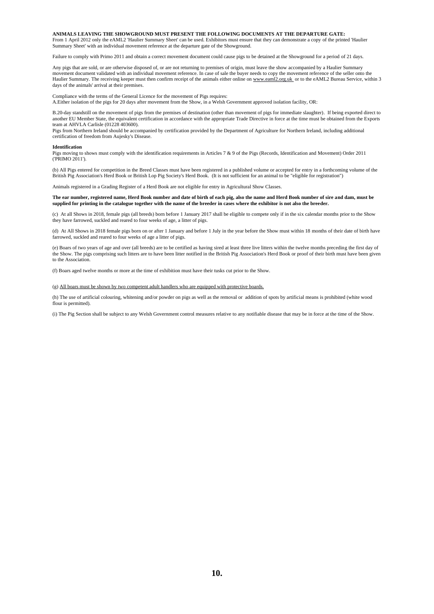#### **ANIMALS LEAVING THE SHOWGROUND MUST PRESENT THE FOLLOWING DOCUMENTS AT THE DEPARTURE GATE:**

From 1 April 2012 only the eAML2 'Haulier Summary Sheet' can be used. Exhibitors must ensure that they can demonstrate a copy of the printed 'Haulier Summary Sheet' with an individual movement reference at the departure gate of the Showground.

Failure to comply with Primo 2011 and obtain a correct movement document could cause pigs to be detained at the Showground for a period of 21 days.

Any pigs that are sold, or are otherwise disposed of, or are not returning to premises of origin, must leave the show accompanied by a Haulier Summary movement document validated with an individual movement reference. In case of sale the buyer needs to copy the movement reference of the seller onto the Haulier Summary. The receiving keeper must then confirm receipt of the animals either online on www.eaml2.org.uk or to the eAML2 Bureau Service, within 3 days of the animals' arrival at their premises.

Compliance with the terms of the General Licence for the movement of Pigs requires: A.Either isolation of the pigs for 20 days after movement from the Show, in a Welsh Government approved isolation facility, OR:

B.20-day standstill on the movement of pigs from the premises of destination (other than movement of pigs for immediate slaughter). If being exported direct to another EU Member State, the equivalent certification in accordance with the appropriate Trade Directive in force at the time must be obtained from the Exports team at AHVLA Carlisle (01228 403600).

Pigs from Northern Ireland should be accompanied by certification provided by the Department of Agriculture for Northern Ireland, including additional certification of freedom from Aujesky's Disease.

#### **Identification**

Pigs moving to shows must comply with the identification requirements in Articles 7 & 9 of the Pigs (Records, Identification and Movement) Order 2011 ('PRIMO 2011').

(b) All Pigs entered for competition in the Breed Classes must have been registered in a published volume or accepted for entry in a forthcoming volume of the British Pig Association's Herd Book or British Lop Pig Society's Herd Book. (It is not sufficient for an animal to be "eligible for registration")

Animals registered in a Grading Register of a Herd Book are not eligible for entry in Agricultural Show Classes.

#### **The ear number, registered name, Herd Book number and date of birth of each pig, also the name and Herd Book number of sire and dam, must be supplied for printing in the catalogue together with the name of the breeder in cases where the exhibitor is not also the breeder.**

(c) At all Shows in 2018, female pigs (all breeds) born before 1 January 2017 shall be eligible to compete only if in the six calendar months prior to the Show they have farrowed, suckled and reared to four weeks of age, a litter of pigs.

(d) At All Shows in 2018 female pigs born on or after 1 January and before 1 July in the year before the Show must within 18 months of their date of birth have farrowed, suckled and reared to four weeks of age a litter of pigs.

(e) Boars of two years of age and over (all breeds) are to be certified as having sired at least three live litters within the twelve months preceding the first day of the Show. The pigs comprising such litters are to have been litter notified in the British Pig Association's Herd Book or proof of their birth must have been given to the Association.

(f) Boars aged twelve months or more at the time of exhibition must have their tusks cut prior to the Show.

(g) All boars must be shown by two competent adult handlers who are equipped with protective boards.

(h) The use of artificial colouring, whitening and/or powder on pigs as well as the removal or addition of spots by artificial means is prohibited (white wood flour is permitted).

(i) The Pig Section shall be subject to any Welsh Government control measures relative to any notifiable disease that may be in force at the time of the Show.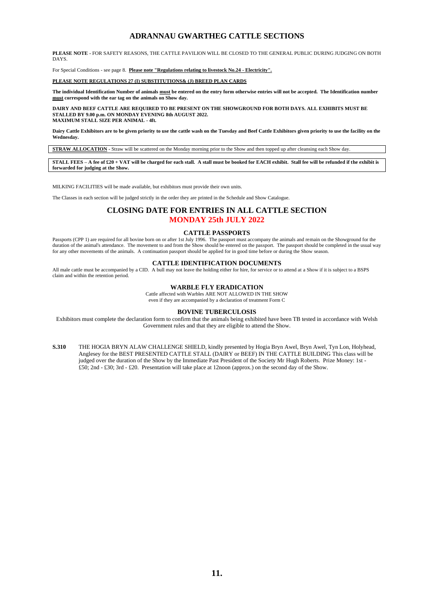### **ADRANNAU GWARTHEG CATTLE SECTIONS**

**PLEASE NOTE -** FOR SAFETY REASONS, THE CATTLE PAVILION WILL BE CLOSED TO THE GENERAL PUBLIC DURING JUDGING ON BOTH DAYS.

For Special Conditions - see page 8. **Please note "Regulations relating to livestock No.24 - Electricity".**

**PLEASE NOTE REGULATIONS 27 (I) SUBSTITUTIONS& (J) BREED PLAN CARDS**

**The individual Identification Number of animals must be entered on the entry form otherwise entries will not be accepted. The Identification number must correspond with the ear tag on the animals on Show day.**

**DAIRY AND BEEF CATTLE ARE REQUIRED TO BE PRESENT ON THE SHOWGROUND FOR BOTH DAYS. ALL EXHIBITS MUST BE STALLED BY 9.00 p.m. ON MONDAY EVENING 8th AUGUST 2022. MAXIMUM STALL SIZE PER ANIMAL - 4ft.**

**Dairy Cattle Exhibitors are to be given priority to use the cattle wash on the Tuesday and Beef Cattle Exhibitors given priority to use the facility on the Wednesday.**

**STRAW ALLOCATION -** Straw will be scattered on the Monday morning prior to the Show and then topped up after cleansing each Show day.

**STALL FEES – A fee of £20 + VAT will be charged for each stall. A stall must be booked for EACH exhibit. Stall fee will be refunded if the exhibit is forwarded for judging at the Show.**

MILKING FACILITIES will be made available, but exhibitors must provide their own units.

The Classes in each section will be judged strictly in the order they are printed in the Schedule and Show Catalogue.

### **CLOSING DATE FOR ENTRIES IN ALL CATTLE SECTION MONDAY 25th JULY 2022**

#### **CATTLE PASSPORTS**

Passports (CPP 1) are required for all bovine born on or after 1st July 1996. The passport must accompany the animals and remain on the Showground for the duration of the animal's attendance. The movement to and from the Show should be entered on the passport. The passport should be completed in the usual way for any other movements of the animals. A continuation passport should be applied for in good time before or during the Show season.

### **CATTLE IDENTIFICATION DOCUMENTS**

All male cattle must be accompanied by a CID. A bull may not leave the holding either for hire, for service or to attend at a Show if it is subject to a BSPS claim and within the retention period.

### **WARBLE FLY ERADICATION**

Cattle affected with Warbles ARE NOT ALLOWED IN THE SHOW even if they are accompanied by a declaration of treatment Form C

### **BOVINE TUBERCULOSIS**

Exhibitors must complete the declaration form to confirm that the animals being exhibited have been TB tested in accordance with Welsh Government rules and that they are eligible to attend the Show.

**S.310** THE HOGIA BRYN ALAW CHALLENGE SHIELD, kindly presented by Hogia Bryn Awel, Bryn Awel, Tyn Lon, Holyhead, Anglesey for the BEST PRESENTED CATTLE STALL (DAIRY or BEEF) IN THE CATTLE BUILDING This class will be judged over the duration of the Show by the Immediate Past President of the Society Mr Hugh Roberts. Prize Money: 1st - £50; 2nd - £30; 3rd - £20. Presentation will take place at 12noon (approx.) on the second day of the Show.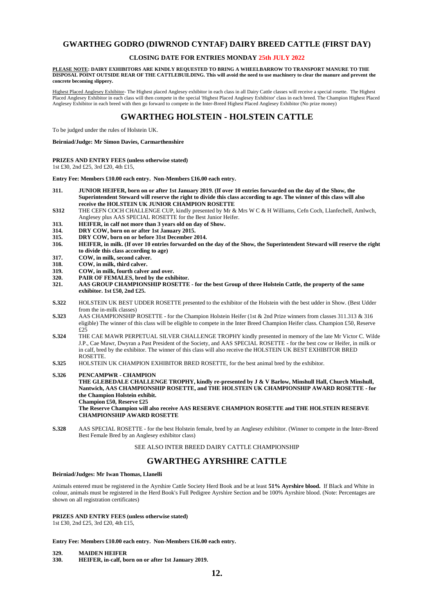### **GWARTHEG GODRO (DIWRNOD CYNTAF) DAIRY BREED CATTLE (FIRST DAY)**

### **CLOSING DATE FOR ENTRIES MONDAY 25th JULY 2022**

**PLEASE NOTE: DAIRY EXHIBITORS ARE KINDLY REQUESTED TO BRING A WHEELBARROW TO TRANSPORT MANURE TO THE DISPOSAL POINT OUTSIDE REAR OF THE CATTLEBUILDING. This will avoid the need to use machinery to clear the manure and prevent the concrete becoming slippery.**

Highest Placed Anglesey Exhibitor- The Highest placed Anglesey exhibitor in each class in all Dairy Cattle classes will receive a special rosette. The Highest Placed Anglesey Exhibitor in each class will then compete in the special 'Highest Placed Anglesey Exhibitor' class in each breed. The Champion Highest Placed Anglesey Exhibitor in each breed with then go forward to compete in the Inter-Breed Highest Placed Anglesey Exhibitor (No prize money)

### **GWARTHEG HOLSTEIN - HOLSTEIN CATTLE**

To be judged under the rules of Holstein UK.

**Beirniad/Judge: Mr Simon Davies, Carmarthenshire**

**PRIZES AND ENTRY FEES (unless otherwise stated)** 1st £30, 2nd £25, 3rd £20, 4th £15,

**Entry Fee: Members £10.00 each entry. Non-Members £16.00 each entry.**

- **311. JUNIOR HEIFER, born on or after 1st January 2019. (If over 10 entries forwarded on the day of the Show, the Superintendent Steward will reserve the right to divide this class according to age. The winner of this class will also receive the HOLSTEIN UK JUNIOR CHAMPION ROSETTE**
- **S312** THE CEFN COCH CHALLENGE CUP, kindly presented by Mr & Mrs W C & H Williams, Cefn Coch, Llanfechell, Amlwch, Anglesey plus AAS SPECIAL ROSETTE for the Best Junior Heifer.
- 
- **313. HEIFER, in calf not more than 3 years old on day of Show.**
- **314. DRY COW, born on or after 1st January 2015.**
- **315. DRY COW, born on or before 31st December 2014. 316. HEIFER, in milk. (If over 10 entries forwarded on the day of the Show, the Superintendent Steward will reserve the right to divide this class according to age)**
- 
- **317. COW, in milk, second calver.**
- **318. COW, in milk, third calver.**
- **319. COW, in milk, fourth calver and over.**
- **320. PAIR OF FEMALES, bred by the exhibitor. 321. AAS GROUP CHAMPIONSHIP ROSETTE - for the best Group of three Holstein Cattle, the property of the same exhibitor. 1st £50, 2nd £25.**
- **S.322** HOLSTEIN UK BEST UDDER ROSETTE presented to the exhibitor of the Holstein with the best udder in Show. (Best Udder from the in-milk classes)
- **S.323** AAS CHAMPIONSHIP ROSETTE for the Champion Holstein Heifer (1st & 2nd Prize winners from classes 311.313 & 316 eligible) The winner of this class will be eligible to compete in the Inter Breed Champion Heifer class. Champion £50, Reserve £25
- **S.324** THE CAE MAWR PERPETUAL SILVER CHALLENGE TROPHY kindly presented in memory of the late Mr Victor C. Wilde J.P., Cae Mawr, Dwyran a Past President of the Society, and AAS SPECIAL ROSETTE - for the best cow or Heifer, in milk or in calf, bred by the exhibitor. The winner of this class will also receive the HOLSTEIN UK BEST EXHIBITOR BRED ROSETTE.
- **S.325** HOLSTEIN UK CHAMPION EXHIBITOR BRED ROSETTE, for the best animal bred by the exhibitor.

### **S.326 PENCAMPWR - CHAMPION**

**THE GLEBEDALE CHALLENGE TROPHY, kindly re-presented by J & V Barlow, Minshull Hall, Church Minshull, Nantwich, AAS CHAMPIONSHIP ROSETTE, and THE HOLSTEIN UK CHAMPIONSHIP AWARD ROSETTE - for the Champion Holstein exhibit. Champion £50, Reserve £25**

**The Reserve Champion will also receive AAS RESERVE CHAMPION ROSETTE and THE HOLSTEIN RESERVE CHAMPIONSHIP AWARD ROSETTE**

**S.328** AAS SPECIAL ROSETTE - for the best Holstein female, bred by an Anglesey exhibitor. (Winner to compete in the Inter-Breed Best Female Bred by an Anglesey exhibitor class)

SEE ALSO INTER BREED DAIRY CATTLE CHAMPIONSHIP

### **GWARTHEG AYRSHIRE CATTLE**

### **Beirniad/Judges: Mr Iwan Thomas, Llanelli**

Animals entered must be registered in the Ayrshire Cattle Society Herd Book and be at least **51% Ayrshire blood.** If Black and White in colour, animals must be registered in the Herd Book's Full Pedigree Ayrshire Section and be 100% Ayrshire blood. (Note: Percentages are shown on all registration certificates)

#### **PRIZES AND ENTRY FEES (unless otherwise stated)**

1st £30, 2nd £25, 3rd £20, 4th £15,

**Entry Fee: Members £10.00 each entry. Non-Members £16.00 each entry.**

**329. MAIDEN HEIFER**

**330. HEIFER, in-calf, born on or after 1st January 2019.**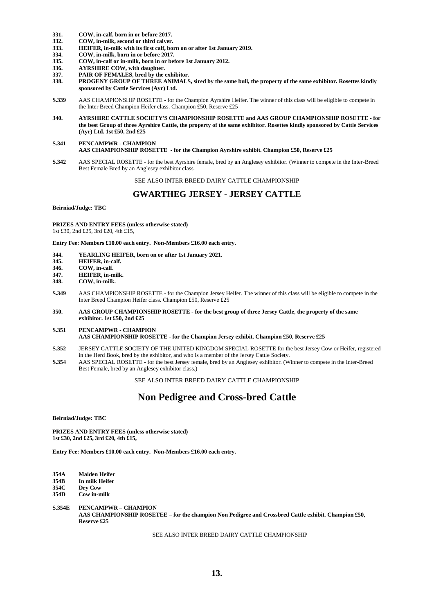- **331. COW, in-calf, born in or before 2017.**
- **332. COW, in-milk, second or third calver.**
- **333. HEIFER, in-milk with its first calf, born on or after 1st January 2019.**
- **334. COW, in-milk, born in or before 2017.**
- **335. COW, in-calf or in-milk, born in or before 1st January 2012.**
- **336. AYRSHIRE COW, with daughter.**
- 
- **337. PAIR OF FEMALES, bred by the exhibitor. 338. PROGENY GROUP OF THREE ANIMALS, sired by the same bull, the property of the same exhibitor. Rosettes kindly sponsored by Cattle Services (Ayr) Ltd.**
- **S.339** AAS CHAMPIONSHIP ROSETTE for the Champion Ayrshire Heifer. The winner of this class will be eligible to compete in the Inter Breed Champion Heifer class. Champion £50, Reserve £25
- **340. AYRSHIRE CATTLE SOCIETY'S CHAMPIONSHIP ROSETTE and AAS GROUP CHAMPIONSHIP ROSETTE - for the best Group of three Ayrshire Cattle, the property of the same exhibitor. Rosettes kindly sponsored by Cattle Services (Ayr) Ltd. 1st £50, 2nd £25**

#### **S.341 PENCAMPWR - CHAMPION AAS CHAMPIONSHIP ROSETTE - for the Champion Ayrshire exhibit. Champion £50, Reserve £25**

**S.342** AAS SPECIAL ROSETTE - for the best Ayrshire female, bred by an Anglesey exhibitor. (Winner to compete in the Inter-Breed Best Female Bred by an Anglesey exhibitor class.

SEE ALSO INTER BREED DAIRY CATTLE CHAMPIONSHIP

### **GWARTHEG JERSEY - JERSEY CATTLE**

**Beirniad/Judge: TBC**

**PRIZES AND ENTRY FEES (unless otherwise stated)** 1st £30, 2nd £25, 3rd £20, 4th £15,

**Entry Fee: Members £10.00 each entry. Non-Members £16.00 each entry.**

- **344. YEARLING HEIFER, born on or after 1st January 2021.**
- **345. HEIFER, in-calf.**
- **346. COW, in-calf.**
- **347. HEIFER, in-milk.**
- **348. COW, in-milk.**
- **S.349** AAS CHAMPIONSHIP ROSETTE for the Champion Jersey Heifer. The winner of this class will be eligible to compete in the Inter Breed Champion Heifer class. Champion £50, Reserve £25
- **350. AAS GROUP CHAMPIONSHIP ROSETTE - for the best group of three Jersey Cattle, the property of the same exhibitor. 1st £50, 2nd £25**
- **S.351 PENCAMPWR - CHAMPION AAS CHAMPIONSHIP ROSETTE - for the Champion Jersey exhibit. Champion £50, Reserve £25**
- **S.352** JERSEY CATTLE SOCIETY OF THE UNITED KINGDOM SPECIAL ROSETTE for the best Jersey Cow or Heifer, registered in the Herd Book, bred by the exhibitor, and who is a member of the Jersey Cattle Society.
- **S.354** AAS SPECIAL ROSETTE for the best Jersey female, bred by an Anglesey exhibitor. (Winner to compete in the Inter-Breed Best Female, bred by an Anglesey exhibitor class.)

SEE ALSO INTER BREED DAIRY CATTLE CHAMPIONSHIP

### **Non Pedigree and Cross-bred Cattle**

**Beirniad/Judge: TBC**

**PRIZES AND ENTRY FEES (unless otherwise stated) 1st £30, 2nd £25, 3rd £20, 4th £15,** 

**Entry Fee: Members £10.00 each entry. Non-Members £16.00 each entry.**

**354A Maiden Heifer 354B In milk Heifer 354C Dry Cow**

**354D Cow in-milk**

**S.354E PENCAMPWR – CHAMPION AAS CHAMPIONSHIP ROSETEE – for the champion Non Pedigree and Crossbred Cattle exhibit. Champion £50, Reserve £25**

SEE ALSO INTER BREED DAIRY CATTLE CHAMPIONSHIP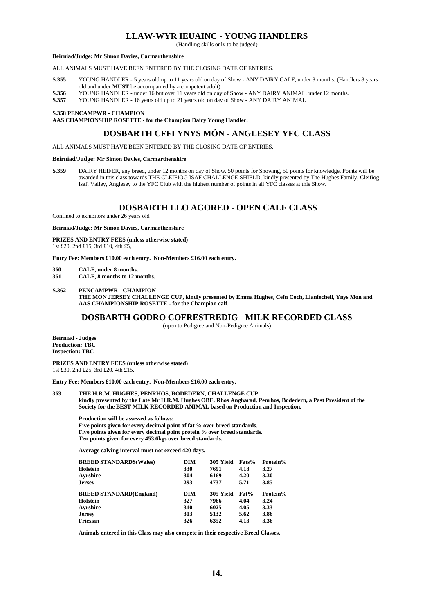### **LLAW-WYR IEUAINC - YOUNG HANDLERS**

(Handling skills only to be judged)

#### **Beirniad/Judge: Mr Simon Davies, Carmarthenshire**

ALL ANIMALS MUST HAVE BEEN ENTERED BY THE CLOSING DATE OF ENTRIES.

- **S.355** YOUNG HANDLER 5 years old up to 11 years old on day of Show ANY DAIRY CALF, under 8 months. (Handlers 8 years old and under **MUST** be accompanied by a competent adult)
- **S.356** YOUNG HANDLER under 16 but over 11 years old on day of Show ANY DAIRY ANIMAL, under 12 months.<br>**S.357** YOUNG HANDLER 16 years old up to 21 years old on day of Show ANY DAIRY ANIMAL.
- **S.357** YOUNG HANDLER 16 years old up to 21 years old on day of Show ANY DAIRY ANIMAL

#### **S.358 PENCAMPWR - CHAMPION**

**AAS CHAMPIONSHIP ROSETTE - for the Champion Dairy Young Handler.**

### **DOSBARTH CFFI YNYS MÔN - ANGLESEY YFC CLASS**

ALL ANIMALS MUST HAVE BEEN ENTERED BY THE CLOSING DATE OF ENTRIES.

#### **Beirniad/Judge: Mr Simon Davies, Carmarthenshire**

**S.359** DAIRY HEIFER, any breed, under 12 months on day of Show. 50 points for Showing, 50 points for knowledge. Points will be awarded in this class towards THE CLEIFIOG ISAF CHALLENGE SHIELD, kindly presented by The Hughes Family, Cleifiog Isaf, Valley, Anglesey to the YFC Club with the highest number of points in all YFC classes at this Show.

### **DOSBARTH LLO AGORED - OPEN CALF CLASS**

Confined to exhibitors under 26 years old

**Beirniad/Judge: Mr Simon Davies, Carmarthenshire**

**PRIZES AND ENTRY FEES (unless otherwise stated)** 1st £20, 2nd £15, 3rd £10, 4th £5,

**Entry Fee: Members £10.00 each entry. Non-Members £16.00 each entry.**

- **360. CALF, under 8 months.**
- **361. CALF, 8 months to 12 months.**
- **S.362 PENCAMPWR - CHAMPION**

**THE MON JERSEY CHALLENGE CUP, kindly presented by Emma Hughes, Cefn Coch, Llanfechell, Ynys Mon and AAS CHAMPIONSHIP ROSETTE - for the Champion calf.**

### **DOSBARTH GODRO COFRESTREDIG - MILK RECORDED CLASS**

(open to Pedigree and Non-Pedigree Animals)

**Beirniad - Judges Production: TBC Inspection: TBC**

**PRIZES AND ENTRY FEES (unless otherwise stated)** 1st £30, 2nd £25, 3rd £20, 4th £15,

**Entry Fee: Members £10.00 each entry. Non-Members £16.00 each entry.**

**363. THE H.R.M. HUGHES, PENRHOS, BODEDERN, CHALLENGE CUP kindly presented by the Late Mr H.R.M. Hughes OBE, Rhos Angharad, Penrhos, Bodedern, a Past President of the Society for the BEST MILK RECORDED ANIMAL based on Production and Inspection.**

**Production will be assessed as follows: Five points given for every decimal point of fat % over breed standards. Five points given for every decimal point protein % over breed standards. Ten points given for every 453.6kgs over breed standards.**

**Average calving interval must not exceed 420 days.**

| <b>BREED STANDARDS(Wales)</b>  | <b>DIM</b> | 305 Yield | Fats% | Protein% |
|--------------------------------|------------|-----------|-------|----------|
| Holstein                       | 330        | 7691      | 4.18  | 3.27     |
| Avrshire                       | 304        | 6169      | 4.20  | 3.30     |
| Jersey                         | 293        | 4737      | 5.71  | 3.85     |
| <b>BREED STANDARD(England)</b> | <b>DIM</b> | 305 Yield | Fat%  | Protein% |
| Holstein                       | 327        | 7966      | 4.04  | 3.24     |
| Avrshire                       | 310        | 6025      | 4.05  | 3.33     |
| Jersev                         | 313        | 5132      | 5.62  | 3.86     |
| Friesian                       | 326        | 6352      | 4.13  | 3.36     |

**Animals entered in this Class may also compete in their respective Breed Classes.**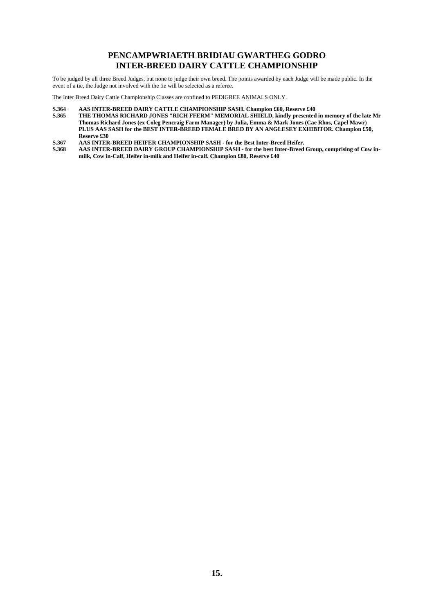### **PENCAMPWRIAETH BRIDIAU GWARTHEG GODRO INTER-BREED DAIRY CATTLE CHAMPIONSHIP**

To be judged by all three Breed Judges, but none to judge their own breed. The points awarded by each Judge will be made public. In the event of a tie, the Judge not involved with the tie will be selected as a referee.

The Inter Breed Dairy Cattle Championship Classes are confined to PEDIGREE ANIMALS ONLY.

- 
- **S.364 AAS INTER-BREED DAIRY CATTLE CHAMPIONSHIP SASH. Champion £60, Reserve £40 S.365 THE THOMAS RICHARD JONES "RICH FFERM" MEMORIAL SHIELD, kindly presented in memory of the late Mr Thomas Richard Jones (ex Coleg Pencraig Farm Manager) by Julia, Emma & Mark Jones (Cae Rhos, Capel Mawr) PLUS AAS SASH for the BEST INTER-BREED FEMALE BRED BY AN ANGLESEY EXHIBITOR. Champion £50, Reserve £30**
- **S.367 AAS INTER-BREED HEIFER CHAMPIONSHIP SASH - for the Best Inter-Breed Heifer.**
- **S.368 AAS INTER-BREED DAIRY GROUP CHAMPIONSHIP SASH - for the best Inter-Breed Group, comprising of Cow inmilk, Cow in-Calf, Heifer in-milk and Heifer in-calf. Champion £80, Reserve £40**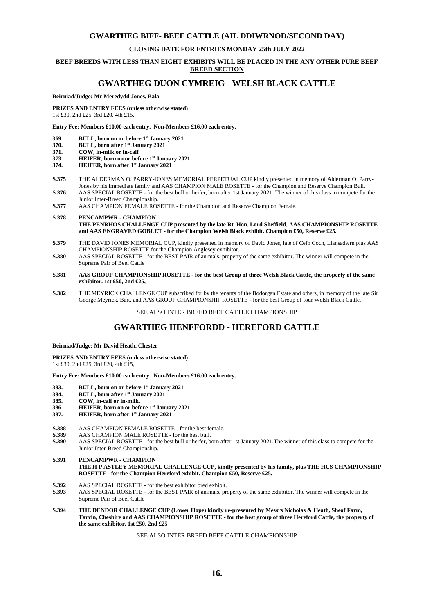### **GWARTHEG BIFF- BEEF CATTLE (AIL DDIWRNOD/SECOND DAY)**

### **CLOSING DATE FOR ENTRIES MONDAY 25th JULY 2022**

### **BEEF BREEDS WITH LESS THAN EIGHT EXHIBITS WILL BE PLACED IN THE ANY OTHER PURE BEEF**

### **BREED SECTION**

### **GWARTHEG DUON CYMREIG - WELSH BLACK CATTLE**

#### **Beirniad/Judge: Mr Meredydd Jones, Bala**

**PRIZES AND ENTRY FEES (unless otherwise stated)** 1st £30, 2nd £25, 3rd £20, 4th £15,

**Entry Fee: Members £10.00 each entry. Non-Members £16.00 each entry.**

- **369. BULL, born on or before 1st January 2021**
- **370. BULL, born after 1st January 2021**
- **371. COW, in-milk or in-calf**
- **373. HEIFER, born on or before 1st January 2021**
- **374. HEIFER, born after 1st January 2021**
- **S.375** THE ALDERMAN O. PARRY-JONES MEMORIAL PERPETUAL CUP kindly presented in memory of Alderman O. Parry-Jones by his immediate family and AAS CHAMPION MALE ROSETTE - for the Champion and Reserve Champion Bull.
- **S.376** AAS SPECIAL ROSETTE for the best bull or heifer, born after 1st January 2021. The winner of this class to compete for the Junior Inter-Breed Championship.
- **S.377** AAS CHAMPION FEMALE ROSETTE for the Champion and Reserve Champion Female.

#### **S.378 PENCAMPWR - CHAMPION THE PENRHOS CHALLENGE CUP presented by the late Rt. Hon. Lord Sheffield, AAS CHAMPIONSHIP ROSETTE and AAS ENGRAVED GOBLET - for the Champion Welsh Black exhibit. Champion £50, Reserve £25.**

- **S.379** THE DAVID JONES MEMORIAL CUP, kindly presented in memory of David Jones, late of Cefn Coch, Llansadwrn plus AAS CHAMPIONSHIP ROSETTE for the Champion Anglesey exhibitor.
- **S.380** AAS SPECIAL ROSETTE for the BEST PAIR of animals, property of the same exhibitor. The winner will compete in the Supreme Pair of Beef Cattle
- **S.381 AAS GROUP CHAMPIONSHIP ROSETTE - for the best Group of three Welsh Black Cattle, the property of the same exhibitor. 1st £50, 2nd £25,**
- **S.382** THE MEYRICK CHALLENGE CUP subscribed for by the tenants of the Bodorgan Estate and others, in memory of the late Sir George Meyrick, Bart. and AAS GROUP CHAMPIONSHIP ROSETTE - for the best Group of four Welsh Black Cattle.

SEE ALSO INTER BREED BEEF CATTLE CHAMPIONSHIP

### **GWARTHEG HENFFORDD - HEREFORD CATTLE**

#### **Beirniad/Judge: Mr David Heath, Chester**

**PRIZES AND ENTRY FEES (unless otherwise stated)**

1st £30, 2nd £25, 3rd £20, 4th £15,

**Entry Fee: Members £10.00 each entry. Non-Members £16.00 each entry.**

- **383. BULL, born on or before 1st January 2021**
- **384. BULL, born after 1st January 2021**
- **385. COW, in-calf or in-milk.**
- **386. HEIFER, born on or before 1st January 2021**
- **387. HEIFER, born after 1st January 2021**
- **S.388** AAS CHAMPION FEMALE ROSETTE for the best female.<br> **S.389** AAS CHAMPION MALE ROSETTE for the best bull
- **S.389** AAS CHAMPION MALE ROSETTE for the best bull.
- **S.390** AAS SPECIAL ROSETTE for the best bull or heifer, born after 1st January 2021.The winner of this class to compete for the Junior Inter-Breed Championship.
- **S.391 PENCAMPWR - CHAMPION THE H P ASTLEY MEMORIAL CHALLENGE CUP, kindly presented by his family, plus THE HCS CHAMPIONSHIP ROSETTE - for the Champion Hereford exhibit. Champion £50, Reserve £25.**
- **S.392** AAS SPECIAL ROSETTE for the best exhibitor bred exhibit.
- **S.393** AAS SPECIAL ROSETTE for the BEST PAIR of animals, property of the same exhibitor. The winner will compete in the Supreme Pair of Beef Cattle
- **S.394 THE DENDOR CHALLENGE CUP (Lower Hope) kindly re-presented by Messrs Nicholas & Heath, Sheaf Farm, Tarvin, Cheshire and AAS CHAMPIONSHIP ROSETTE - for the best group of three Hereford Cattle, the property of the same exhibitor. 1st £50, 2nd £25**

### SEE ALSO INTER BREED BEEF CATTLE CHAMPIONSHIP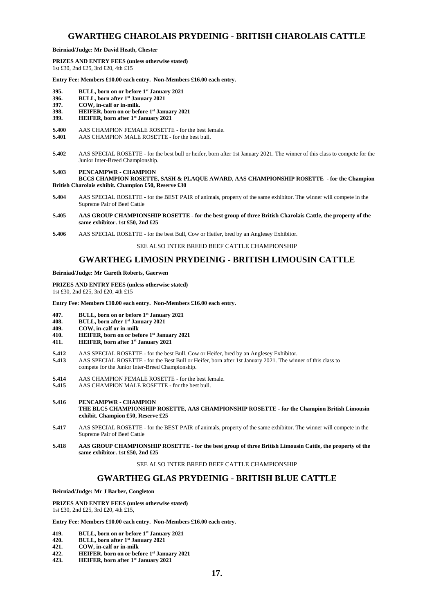### **GWARTHEG CHAROLAIS PRYDEINIG - BRITISH CHAROLAIS CATTLE**

### **Beirniad/Judge: Mr David Heath, Chester**

**PRIZES AND ENTRY FEES (unless otherwise stated)** 1st £30, 2nd £25, 3rd £20, 4th £15

**Entry Fee: Members £10.00 each entry. Non-Members £16.00 each entry.**

- **395. BULL, born on or before 1st January 2021**
- **396. BULL, born after 1st January 2021**
- **397. COW, in-calf or in-milk.**
- **398. HEIFER, born on or before 1st January 2021**
- **399. HEIFER, born after 1st January 2021**
- **S.400** AAS CHAMPION FEMALE ROSETTE for the best female.<br>**S.401** AAS CHAMPION MALE ROSETTE for the best bull.
- **S.401** AAS CHAMPION MALE ROSETTE for the best bull.
- **S.402** AAS SPECIAL ROSETTE for the best bull or heifer, born after 1st January 2021. The winner of this class to compete for the Junior Inter-Breed Championship.

#### **S.403 PENCAMPWR - CHAMPION**

**BCCS CHAMPION ROSETTE, SASH & PLAQUE AWARD, AAS CHAMPIONSHIP ROSETTE - for the Champion British Charolais exhibit. Champion £50, Reserve £30**

- **S.404** AAS SPECIAL ROSETTE for the BEST PAIR of animals, property of the same exhibitor. The winner will compete in the Supreme Pair of Beef Cattle
- **S.405 AAS GROUP CHAMPIONSHIP ROSETTE - for the best group of three British Charolais Cattle, the property of the same exhibitor. 1st £50, 2nd £25**
- **S.406** AAS SPECIAL ROSETTE for the best Bull, Cow or Heifer, bred by an Anglesey Exhibitor.

SEE ALSO INTER BREED BEEF CATTLE CHAMPIONSHIP

### **GWARTHEG LIMOSIN PRYDEINIG - BRITISH LIMOUSIN CATTLE**

**Beirniad/Judge: Mr Gareth Roberts, Gaerwen**

**PRIZES AND ENTRY FEES (unless otherwise stated)** 1st £30, 2nd £25, 3rd £20, 4th £15

**Entry Fee: Members £10.00 each entry. Non-Members £16.00 each entry.**

- **407. BULL, born on or before 1st January 2021**
- **408. BULL, born after 1st January 2021**
- **409. COW, in-calf or in-milk**
- **410. HEIFER, born on or before 1st January 2021**
- **411. HEIFER, born after 1st January 2021**
- **S.412** AAS SPECIAL ROSETTE for the best Bull, Cow or Heifer, bred by an Anglesey Exhibitor.
- **S.413** AAS SPECIAL ROSETTE for the Best Bull or Heifer, born after 1st January 2021. The winner of this class to compete for the Junior Inter-Breed Championship.
- **S.414** AAS CHAMPION FEMALE ROSETTE for the best female.<br>**S.415** AAS CHAMPION MALE ROSETTE for the best bull
- **S.415** AAS CHAMPION MALE ROSETTE for the best bull.
- **S.416 PENCAMPWR - CHAMPION THE BLCS CHAMPIONSHIP ROSETTE, AAS CHAMPIONSHIP ROSETTE - for the Champion British Limousin exhibit. Champion £50, Reserve £25**
- **S.417** AAS SPECIAL ROSETTE for the BEST PAIR of animals, property of the same exhibitor. The winner will compete in the Supreme Pair of Beef Cattle
- **S.418 AAS GROUP CHAMPIONSHIP ROSETTE - for the best group of three British Limousin Cattle, the property of the same exhibitor. 1st £50, 2nd £25**

SEE ALSO INTER BREED BEEF CATTLE CHAMPIONSHIP

### **GWARTHEG GLAS PRYDEINIG - BRITISH BLUE CATTLE**

**Beirniad/Judge: Mr J Barber, Congleton**

**PRIZES AND ENTRY FEES (unless otherwise stated)** 1st £30, 2nd £25, 3rd £20, 4th £15,

**Entry Fee: Members £10.00 each entry. Non-Members £16.00 each entry.**

- **419. BULL, born on or before 1st January 2021**
- **420. BULL, born after 1st January 2021**
- **421. COW, in-calf or in-milk**
- **422. HEIFER, born on or before 1st January 2021**
- **423. HEIFER, born after 1st January 2021**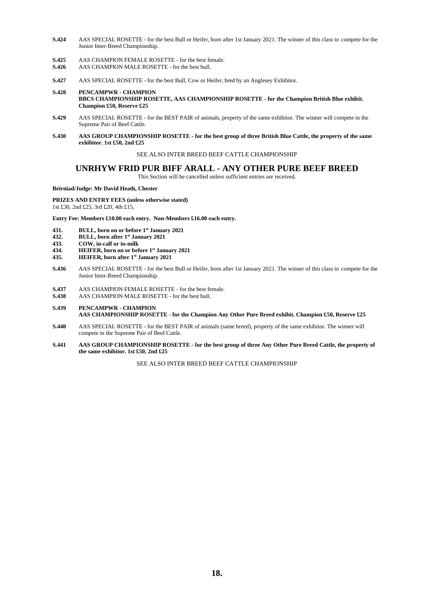- **S.424** AAS SPECIAL ROSETTE for the best Bull or Heifer, born after 1st January 2021. The winner of this class to compete for the Junior Inter-Breed Championship.
- **S.425** AAS CHAMPION FEMALE ROSETTE for the best female.<br>**S.426** AAS CHAMPION MALE ROSETTE for the best bull.
- **S.426** AAS CHAMPION MALE ROSETTE for the best bull.
- **S.427** AAS SPECIAL ROSETTE for the best Bull, Cow or Heifer, bred by an Anglesey Exhibitor.
- **S.428 PENCAMPWR - CHAMPION BBCS CHAMPIONSHIP ROSETTE, AAS CHAMPIONSHIP ROSETTE - for the Champion British Blue exhibit. Champion £50, Reserve £25**
- **S.429** AAS SPECIAL ROSETTE for the BEST PAIR of animals, property of the same exhibitor. The winner will compete in the Supreme Pair of Beef Cattle.
- **S.430 AAS GROUP CHAMPIONSHIP ROSETTE - for the best group of three British Blue Cattle, the property of the same exhibitor. 1st £50, 2nd £25**

### SEE ALSO INTER BREED BEEF CATTLE CHAMPIONSHIP

### **UNRHYW FRID PUR BIFF ARALL - ANY OTHER PURE BEEF BREED**

This Section will be cancelled unless sufficient entries are received.

### **Beirniad/Judge: Mr David Heath, Chester**

### **PRIZES AND ENTRY FEES (unless otherwise stated)**

1st £30, 2nd £25, 3rd £20, 4th £15,

**Entry Fee: Members £10.00 each entry. Non-Members £16.00 each entry.**

- **431. BULL, born on or before 1st January 2021**
- **432. BULL, born after 1st January 2021**
- **433. COW, in-calf or in-milk**
- **434. HEIFER, born on or before 1st January 2021**
- **435. HEIFER, born after 1st January 2021**
- **S.436** AAS SPECIAL ROSETTE for the best Bull or Heifer, born after 1st January 2021. The winner of this class to compete for the Junior Inter-Breed Championship.
- **S.437** AAS CHAMPION FEMALE ROSETTE for the best female.
- **S.438** AAS CHAMPION MALE ROSETTE for the best bull.

#### **S.439 PENCAMPWR - CHAMPION AAS CHAMPIONSHIP ROSETTE - for the Champion Any Other Pure Breed exhibit. Champion £50, Reserve £25**

- **S.440** AAS SPECIAL ROSETTE for the BEST PAIR of animals (same breed), property of the same exhibitor. The winner will compete in the Supreme Pair of Beef Cattle.
- **S.441 AAS GROUP CHAMPIONSHIP ROSETTE - for the best group of three Any Other Pure Breed Cattle, the property of the same exhibitor. 1st £50, 2nd £25**

SEE ALSO INTER BREED BEEF CATTLE CHAMPIONSHIP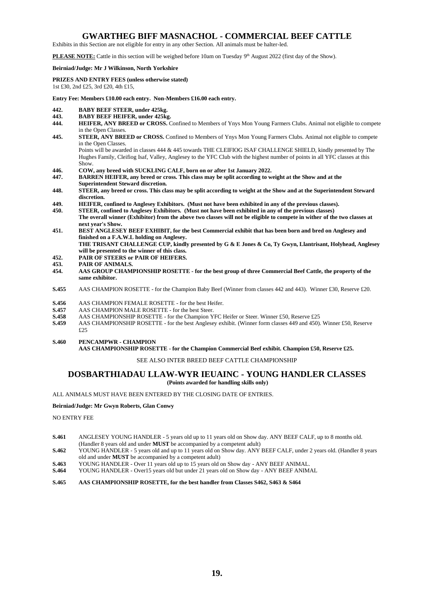### **GWARTHEG BIFF MASNACHOL - COMMERCIAL BEEF CATTLE**

Exhibits in this Section are not eligible for entry in any other Section. All animals must be halter-led.

**PLEASE NOTE:** Cattle in this section will be weighed before 10am on Tuesday 9<sup>th</sup> August 2022 (first day of the Show).

### **Beirniad/Judge: Mr J Wilkinson, North Yorkshire**

**PRIZES AND ENTRY FEES (unless otherwise stated)** 1st £30, 2nd £25, 3rd £20, 4th £15,

**Entry Fee: Members £10.00 each entry. Non-Members £16.00 each entry.**

- 
- **442. BABY BEEF STEER, under 425kg.**
- **443. BABY BEEF HEIFER, under 425kg. 444. HEIFER, ANY BREED or CROSS.** Confined to Members of Ynys Mon Young Farmers Clubs. Animal not eligible to compete in the Open Classes
- **445. STEER, ANY BREED or CROSS.** Confined to Members of Ynys Mon Young Farmers Clubs. Animal not eligible to compete in the Open Classes.

Points will be awarded in classes 444 & 445 towards THE CLEIFIOG ISAF CHALLENGE SHIELD, kindly presented by The Hughes Family, Cleifiog Isaf, Valley, Anglesey to the YFC Club with the highest number of points in all YFC classes at this Show.

- **446. COW, any breed with SUCKLING CALF, born on or after 1st January 2022.**
- **447. BARREN HEIFER, any breed or cross. This class may be split according to weight at the Show and at the Superintendent Steward discretion.**
- **448. STEER, any breed or cross. This class may be split according to weight at the Show and at the Superintendent Steward discretion.**
- **449. HEIFER, confined to Anglesey Exhibitors. (Must not have been exhibited in any of the previous classes).**
- **450. STEER, confined to Anglesey Exhibitors. (Must not have been exhibited in any of the previous classes) The overall winner (Exhibitor) from the above two classes will not be eligible to compete in wither of the two classes at next year's Show.**
- **451. BEST ANGLESEY BEEF EXHIBIT, for the best Commercial exhibit that has been born and bred on Anglesey and finished on a F.A.W.L holding on Anglesey. THE TRISANT CHALLENGE CUP, kindly presented by G & E Jones & Co, Ty Gwyn, Llantrisant, Holyhead, Anglesey**

**will be presented to the winner of this class.**

- **452. PAIR OF STEERS or PAIR OF HEIFERS.**
- **453. PAIR OF ANIMALS.**
- **454. AAS GROUP CHAMPIONSHIP ROSETTE - for the best group of three Commercial Beef Cattle, the property of the same exhibitor.**
- **S.455** AAS CHAMPION ROSETTE for the Champion Baby Beef (Winner from classes 442 and 443). Winner £30, Reserve £20.
- **S.456** AAS CHAMPION FEMALE ROSETTE for the best Heifer.<br>**S.457** AAS CHAMPION MALE ROSETTE for the best Steer
- **S.457** AAS CHAMPION MALE ROSETTE for the best Steer.<br> **S.458** AAS CHAMPIONSHIP ROSETTE for the Champion Y
- **S.458** AAS CHAMPIONSHIP ROSETTE for the Champion YFC Heifer or Steer. Winner £50, Reserve £25<br>**S.459** AAS CHAMPIONSHIP ROSETTE for the best Anglesey exhibit. (Winner form classes 449 and 450).
- **S.459** AAS CHAMPIONSHIP ROSETTE for the best Anglesey exhibit. (Winner form classes 449 and 450). Winner £50, Reserve £25

**S.460 PENCAMPWR - CHAMPION** 

**AAS CHAMPIONSHIP ROSETTE - for the Champion Commercial Beef exhibit. Champion £50, Reserve £25.** 

### SEE ALSO INTER BREED BEEF CATTLE CHAMPIONSHIP

### **DOSBARTHIADAU LLAW-WYR IEUAINC - YOUNG HANDLER CLASSES (Points awarded for handling skills only)**

ALL ANIMALS MUST HAVE BEEN ENTERED BY THE CLOSING DATE OF ENTRIES.

#### **Beirniad/Judge: Mr Gwyn Roberts, Glan Conwy**

NO ENTRY FEE

- **S.461** ANGLESEY YOUNG HANDLER 5 years old up to 11 years old on Show day. ANY BEEF CALF, up to 8 months old. (Handler 8 years old and under **MUST** be accompanied by a competent adult)
- **S.462** YOUNG HANDLER 5 years old and up to 11 years old on Show day. ANY BEEF CALF, under 2 years old. (Handler 8 years old and under **MUST** be accompanied by a competent adult)
- **S.463** YOUNG HANDLER Over 11 years old up to 15 years old on Show day ANY BEEF ANIMAL.
- **S.464** YOUNG HANDLER Over15 years old but under 21 years old on Show day ANY BEEF ANIMAL

### **S.465 AAS CHAMPIONSHIP ROSETTE, for the best handler from Classes S462, S463 & S464**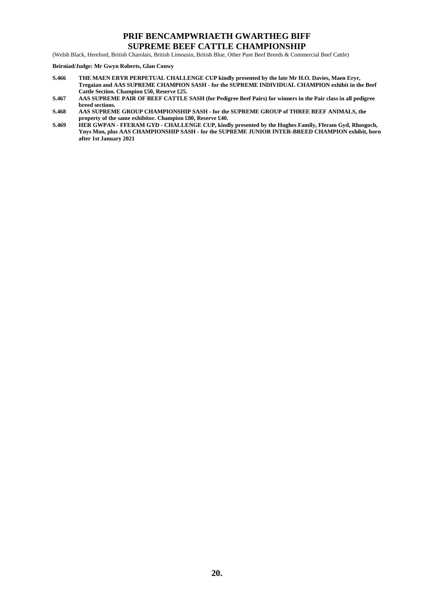### **PRIF BENCAMPWRIAETH GWARTHEG BIFF SUPREME BEEF CATTLE CHAMPIONSHIP**

(Welsh Black, Hereford, British Charolais, British Limousin, British Blue, Other Pure Beef Breeds & Commercial Beef Cattle)

### **Beirniad/Judge: Mr Gwyn Roberts, Glan Conwy**

- **S.466 THE MAEN ERYR PERPETUAL CHALLENGE CUP kindly presented by the late Mr H.O. Davies, Maen Eryr, Tregaian and AAS SUPREME CHAMPION SASH - for the SUPREME INDIVIDUAL CHAMPION exhibit in the Beef Cattle Section. Champion £50, Reserve £25.**
- **S.467 AAS SUPREME PAIR OF BEEF CATTLE SASH (for Pedigree Beef Pairs) for winners in the Pair class in all pedigree breed sections.**
- **S.468 AAS SUPREME GROUP CHAMPIONSHIP SASH - for the SUPREME GROUP of THREE BEEF ANIMALS, the property of the same exhibitor. Champion £80, Reserve £40.**
- **S.469 HER GWPAN - FFERAM GYD - CHALLENGE CUP, kindly presented by the Hughes Family, Fferam Gyd, Rhosgoch, Ynys Mon, plus AAS CHAMPIONSHIP SASH - for the SUPREME JUNIOR INTER-BREED CHAMPION exhibit, born after 1st January 2021**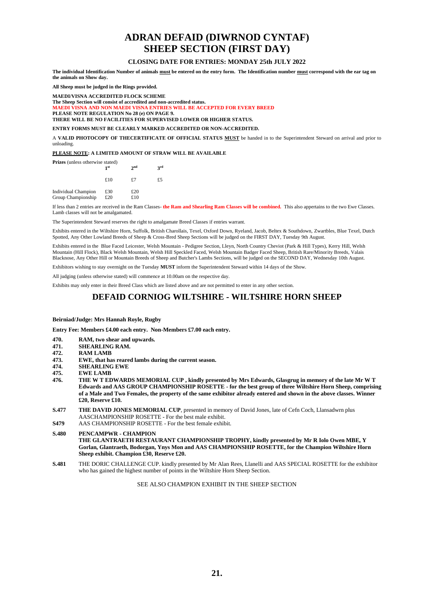# **ADRAN DEFAID (DIWRNOD CYNTAF) SHEEP SECTION (FIRST DAY)**

### **CLOSING DATE FOR ENTRIES: MONDAY 25th JULY 2022**

**The individual Identification Number of animals must be entered on the entry form. The Identification number must correspond with the ear tag on the animals on Show day.**

**All Sheep must be judged in the Rings provided.**

**MAEDI/VISNA ACCREDITED FLOCK SCHEME**

**The Sheep Section will consist of accredited and non-accredited status. MAEDI VISNA AND NON MAEDI VISNA ENTRIES WILL BE ACCEPTED FOR EVERY BREED PLEASE NOTE REGULATION No 28 (e) ON PAGE 9.**

**THERE WILL BE NO FACILITIES FOR SUPERVISED LOWER OR HIGHER STATUS.**

**ENTRY FORMS MUST BE CLEARLY MARKED ACCREDITED OR NON-ACCREDITED.**

A **VALID PHOTOCOPY OF THECERTIFICATE OF OFFICIAL STATUS MUST** be handed in to the Superintendent Steward on arrival and prior to unloading.

**PLEASE NOTE: A LIMITED AMOUNT OF STRAW WILL BE AVAILABLE**

|                                           | <b>Prizes</b> (unless otherwise stated)<br>1 st |            | 2rd |
|-------------------------------------------|-------------------------------------------------|------------|-----|
|                                           | £10                                             | £7         | £5  |
| Individual Champion<br>Group Championship | £30<br>£20                                      | £20<br>£10 |     |

If less than 2 entries are received in the Ram Classes- **the Ram and Shearling Ram Classes will be combined.** This also appertains to the two Ewe Classes. Lamb classes will not be amalgamated.

The Superintendent Steward reserves the right to amalgamate Breed Classes if entries warrant.

Exhibits entered in the Wiltshire Horn, Suffolk, British Charollais, Texel, Oxford Down, Ryeland, Jacob, Beltex & Southdown, Zwartbles, Blue Texel, Dutch Spotted, Any Other Lowland Breeds of Sheep & Cross-Bred Sheep Sections will be judged on the FIRST DAY, Tuesday 9th August.

Exhibits entered in the Blue Faced Leicester, Welsh Mountain - Pedigree Section, Lleyn, North Country Cheviot (Park & Hill Types), Kerry Hill, Welsh Mountain (Hill Flock), Black Welsh Mountain, Welsh Hill Speckled Faced, Welsh Mountain Badger Faced Sheep, British Rare/Minority Breeds, Valais Blacknose, Any Other Hill or Mountain Breeds of Sheep and Butcher's Lambs Sections, will be judged on the SECOND DAY, Wednesday 10th August.

Exhibitors wishing to stay overnight on the Tuesday **MUST** inform the Superintendent Steward within 14 days of the Show.

All judging (unless otherwise stated) will commence at 10.00am on the respective day.

Exhibits may only enter in their Breed Class which are listed above and are not permitted to enter in any other section.

### **DEFAID CORNIOG WILTSHIRE - WILTSHIRE HORN SHEEP**

#### **Beirniad/Judge: Mrs Hannah Royle, Rugby**

**Entry Fee: Members £4.00 each entry. Non-Members £7.00 each entry.**

- **470. RAM, two shear and upwards.**
- **471. SHEARLING RAM.**
- **472. RAM LAMB**
- **473. EWE, that has reared lambs during the current season.**
- **474. SHEARLING EWE**
- **475. EWE LAMB**
- **476. THE W T EDWARDS MEMORIAL CUP , kindly presented by Mrs Edwards, Glasgrug in memory of the late Mr W T Edwards and AAS GROUP CHAMPIONSHIP ROSETTE - for the best group of three Wiltshire Horn Sheep, comprising of a Male and Two Females, the property of the same exhibitor already entered and shown in the above classes. Winner £20, Reserve £10.**
- **S.477 THE DAVID JONES MEMORIAL CUP**, presented in memory of David Jones, late of Cefn Coch, Llansadwrn plus AASCHAMPIONSHIP ROSETTE - For the best male exhibit.
- **S479** AAS CHAMPIONSHIP ROSETTE For the best female exhibit.
- **S.480 PENCAMPWR - CHAMPION THE GLANTRAETH RESTAURANT CHAMPIONSHIP TROPHY, kindly presented by Mr R Iolo Owen MBE, Y Gorlan, Glantraeth, Bodorgan, Ynys Mon and AAS CHAMPIONSHIP ROSETTE, for the Champion Wiltshire Horn Sheep exhibit. Champion £30, Reserve £20.**
- **S.481** THE DORIC CHALLENGE CUP. kindly presented by Mr Alan Rees, Llanelli and AAS SPECIAL ROSETTE for the exhibitor who has gained the highest number of points in the Wiltshire Horn Sheep Section.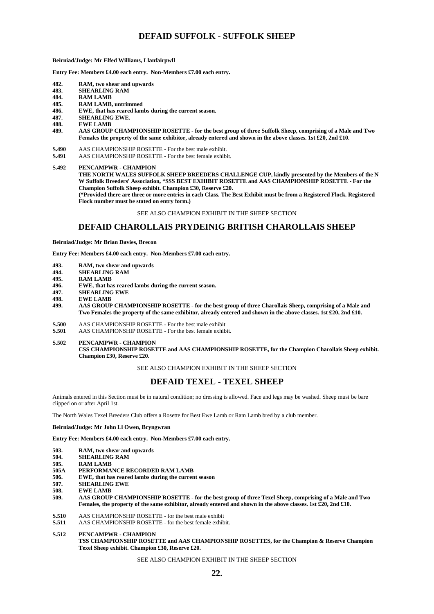### **DEFAID SUFFOLK - SUFFOLK SHEEP**

**Beirniad/Judge: Mr Elfed Williams, Llanfairpwll**

**Entry Fee: Members £4.00 each entry. Non-Members £7.00 each entry.**

- **482. RAM, two shear and upwards**
- **483. SHEARLING RAM**
- **484. RAM LAMB**
- **485. RAM LAMB, untrimmed**
- **486. EWE, that has reared lambs during the current season.**
- **487. SHEARLING EWE.**
- **488. EWE LAMB**
- **489. AAS GROUP CHAMPIONSHIP ROSETTE - for the best group of three Suffolk Sheep, comprising of a Male and Two Females the property of the same exhibitor, already entered and shown in the above classes. 1st £20, 2nd £10.**
- **S.490** AAS CHAMPIONSHIP ROSETTE For the best male exhibit.
- **S.491** AAS CHAMPIONSHIP ROSETTE For the best female exhibit.

**S.492 PENCAMPWR - CHAMPION**

THE NORTH WALES SUFFOLK SHEEP BREEDERS CHALLENGE CUP, kindly presented by the Members of the N **W Suffolk Breeders' Association, \*SSS BEST EXHIBIT ROSETTE and AAS CHAMPIONSHIP ROSETTE - For the Champion Suffolk Sheep exhibit. Champion £30, Reserve £20.**

**(\*Provided there are three or more entries in each Class. The Best Exhibit must be from a Registered Flock. Registered Flock number must be stated on entry form.)**

### SEE ALSO CHAMPION EXHIBIT IN THE SHEEP SECTION

### **DEFAID CHAROLLAIS PRYDEINIG BRITISH CHAROLLAIS SHEEP**

**Beirniad/Judge: Mr Brian Davies, Brecon**

**Entry Fee: Members £4.00 each entry. Non-Members £7.00 each entry.**

- 
- **493. RAM, two shear and upwards**
- **494. SHEARLING RAM**
- **495. RAM LAMB 496. EWE, that has reared lambs during the current season.**
- **497. SHEARLING EWE**
- **498. EWE LAMB**
- **499. AAS GROUP CHAMPIONSHIP ROSETTE - for the best group of three Charollais Sheep, comprising of a Male and Two Females the property of the same exhibitor, already entered and shown in the above classes. 1st £20, 2nd £10.**
- **S.500** AAS CHAMPIONSHIP ROSETTE For the best male exhibit **S.501** AAS CHAMPIONSHIP ROSETTE For the best female exhibit
- **S.501** AAS CHAMPIONSHIP ROSETTE For the best female exhibit.

**S.502 PENCAMPWR - CHAMPION CSS CHAMPIONSHIP ROSETTE and AAS CHAMPIONSHIP ROSETTE, for the Champion Charollais Sheep exhibit. Champion £30, Reserve £20.**

SEE ALSO CHAMPION EXHIBIT IN THE SHEEP SECTION

### **DEFAID TEXEL - TEXEL SHEEP**

Animals entered in this Section must be in natural condition; no dressing is allowed. Face and legs may be washed. Sheep must be bare clipped on or after April 1st.

The North Wales Texel Breeders Club offers a Rosette for Best Ewe Lamb or Ram Lamb bred by a club member.

#### **Beirniad/Judge: Mr John Ll Owen, Bryngwran**

**Entry Fee: Members £4.00 each entry. Non-Members £7.00 each entry.**

- **503. RAM, two shear and upwards**
- **504. SHEARLING RAM**
- 
- **505. RAM LAMB 505A PERFORMANCE RECORDED RAM LAMB**<br>**506.** EWE, that has reared lambs during the currer
- **506. EWE, that has reared lambs during the current season**
- **507. SHEARLING EWE**
- **508. EWE LAMB**
- **509. AAS GROUP CHAMPIONSHIP ROSETTE - for the best group of three Texel Sheep, comprising of a Male and Two Females, the property of the same exhibitor, already entered and shown in the above classes. 1st £20, 2nd £10.**
- **S.510** AAS CHAMPIONSHIP ROSETTE for the best male exhibit **S.511** AAS CHAMPIONSHIP ROSETTE for the best female exhib
- **S.511** AAS CHAMPIONSHIP ROSETTE for the best female exhibit.

**S.512 PENCAMPWR - CHAMPION**

**TSS CHAMPIONSHIP ROSETTE and AAS CHAMPIONSHIP ROSETTES, for the Champion & Reserve Champion Texel Sheep exhibit. Champion £30, Reserve £20.**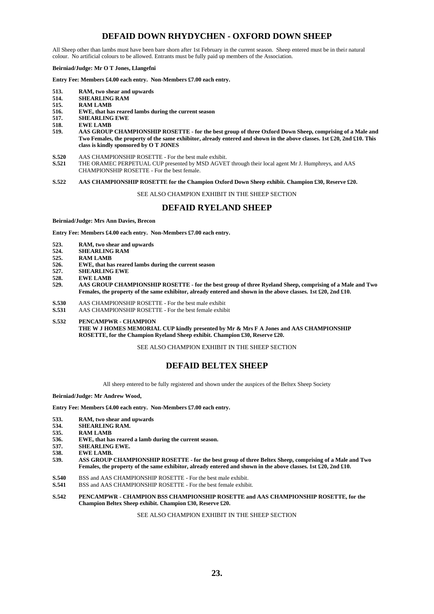### **DEFAID DOWN RHYDYCHEN - OXFORD DOWN SHEEP**

All Sheep other than lambs must have been bare shorn after 1st February in the current season. Sheep entered must be in their natural colour. No artificial colours to be allowed. Entrants must be fully paid up members of the Association.

### **Beirniad/Judge: Mr O T Jones, Llangefni**

**Entry Fee: Members £4.00 each entry. Non-Members £7.00 each entry.**

- **513. RAM, two shear and upwards**
- **514. SHEARLING RAM**
- **515. RAM LAMB**
- **516. EWE, that has reared lambs during the current season**
- **517. SHEARLING EWE**
- **518. EWE LAMB**
- **519. AAS GROUP CHAMPIONSHIP ROSETTE - for the best group of three Oxford Down Sheep, comprising of a Male and Two Females, the property of the same exhibitor, already entered and shown in the above classes. 1st £20, 2nd £10. This class is kindly sponsored by O T JONES**
- 
- **S.520** AAS CHAMPIONSHIP ROSETTE For the best male exhibit.<br>**S.521** THE ORAMEC PERPETUAL CUP presented by MSD AGVE **S.521** THE ORAMEC PERPETUAL CUP presented by MSD AGVET through their local agent Mr J. Humphreys, and AAS CHAMPIONSHIP ROSETTE - For the best female.

### **S.522 AAS CHAMPIONSHIP ROSETTE for the Champion Oxford Down Sheep exhibit. Champion £30, Reserve £20.**

SEE ALSO CHAMPION EXHIBIT IN THE SHEEP SECTION

### **DEFAID RYELAND SHEEP**

**Beirniad/Judge: Mrs Ann Davies, Brecon**

**Entry Fee: Members £4.00 each entry. Non-Members £7.00 each entry.**

- 
- **523. RAM, two shear and upwards 524. SHEARLING RAM**
- **525. RAM LAMB**
- **526. EWE, that has reared lambs during the current season**
- **527. SHEARLING EWE**
- **528. EWE LAMB**
- **529. AAS GROUP CHAMPIONSHIP ROSETTE - for the best group of three Ryeland Sheep, comprising of a Male and Two Females, the property of the same exhibitor, already entered and shown in the above classes. 1st £20, 2nd £10.**
- **S.530** AAS CHAMPIONSHIP ROSETTE For the best male exhibit **S.531** AAS CHAMPIONSHIP ROSETTE For the best female exhibit
- **S.531** AAS CHAMPIONSHIP ROSETTE For the best female exhibit
- **S.532 PENCAMPWR - CHAMPION THE W J HOMES MEMORIAL CUP kindly presented by Mr & Mrs F A Jones and AAS CHAMPIONSHIP ROSETTE, for the Champion Ryeland Sheep exhibit. Champion £30, Reserve £20.**

SEE ALSO CHAMPION EXHIBIT IN THE SHEEP SECTION

### **DEFAID BELTEX SHEEP**

All sheep entered to be fully registered and shown under the auspices of the Beltex Sheep Society

**Beirniad/Judge: Mr Andrew Wood,** 

**Entry Fee: Members £4.00 each entry. Non-Members £7.00 each entry.**

- 
- **533. RAM, two shear and upwards 534. SHEARLING RAM.**
- **535. RAM LAMB**
- **536. EWE, that has reared a lamb during the current season.**
- **537. SHEARLING EWE.**
- **538. EWE LAMB.**
- **539. ASS GROUP CHAMPIONSHIP ROSETTE - for the best group of three Beltex Sheep, comprising of a Male and Two Females, the property of the same exhibitor, already entered and shown in the above classes. 1st £20, 2nd £10.**
- **S.540** BSS and AAS CHAMPIONSHIP ROSETTE For the best male exhibit.<br>**S.541** BSS and AAS CHAMPIONSHIP ROSETTE For the best female exhibit.
- **S.541** BSS and AAS CHAMPIONSHIP ROSETTE For the best female exhibit.
- **S.542 PENCAMPWR - CHAMPION BSS CHAMPIONSHIP ROSETTE and AAS CHAMPIONSHIP ROSETTE, for the Champion Beltex Sheep exhibit. Champion £30, Reserve £20.**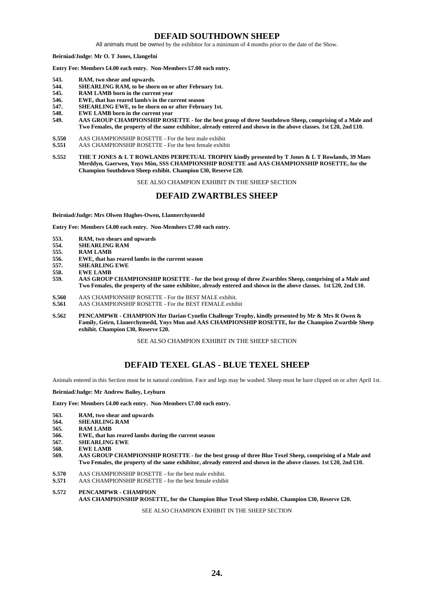### **DEFAID SOUTHDOWN SHEEP**

All animals must be owned by the exhibitor for a minimum of 4 months prior to the date of the Show.

**Beirniad/Judge: Mr O. T Jones, Llangefni**

**Entry Fee: Members £4.00 each entry. Non-Members £7.00 each entry.**

- **543. RAM, two shear and upwards.**
- **544. SHEARLING RAM, to be shorn on or after February 1st.**
- **545. RAM LAMB born in the current year**
- **546. EWE, that has reared lamb/s in the current season**
- **547. SHEARLING EWE, to be shorn on or after February 1st.**
- **548. EWE LAMB born in the current year**
- **549. AAS GROUP CHAMPIONSHIP ROSETTE - for the best group of three Southdown Sheep, comprising of a Male and Two Females, the property of the same exhibitor, already entered and shown in the above classes. 1st £20, 2nd £10.**
- **S.550** AAS CHAMPIONSHIP ROSETTE For the best male exhibit
- **S.551** AAS CHAMPIONSHIP ROSETTE For the best female exhibit
- **S.552 THE T JONES & L T ROWLANDS PERPETUAL TROPHY kindly presented by T Jones & L T Rowlands, 39 Maes Merddyn, Gaerwen, Ynys Môn, SSS CHAMPIONSHIP ROSETTE and AAS CHAMPIONSHIP ROSETTE, for the Champion Southdown Sheep exhibit. Champion £30, Reserve £20.**

SEE ALSO CHAMPION EXHIBIT IN THE SHEEP SECTION

### **DEFAID ZWARTBLES SHEEP**

**Beirniad/Judge: Mrs Olwen Hughes-Owen, Llannerchymedd**

**Entry Fee: Members £4.00 each entry. Non-Members £7.00 each entry.**

- **553. RAM, two shears and upwards**
- **554. SHEARLING RAM**
- **555. RAM LAMB**
- **556. EWE, that has reared lambs in the current season**
- **557. SHEARLING EWE**
- **558. EWE LAMB**
- **559. AAS GROUP CHAMPIONSHIP ROSETTE - for the best group of three Zwartbles Sheep, comprising of a Male and Two Females, the property of the same exhibitor, already entered and shown in the above classes. 1st £20, 2nd £10.**
- **S.560** AAS CHAMPIONSHIP ROSETTE For the BEST MALE exhibit.
- **S.561** AAS CHAMPIONSHIP ROSETTE For the BEST FEMALE exhibit
- **S.562 PENCAMPWR - CHAMPION Her Darian Cynefin Challenge Trophy, kindly presented by Mr & Mrs R Owen & Family, Geirn, Llanerchymedd, Ynys Mon and AAS CHAMPIONSHIP ROSETTE, for the Champion Zwartble Sheep exhibit. Champion £30, Reserve £20.**

SEE ALSO CHAMPION EXHIBIT IN THE SHEEP SECTION

### **DEFAID TEXEL GLAS - BLUE TEXEL SHEEP**

Animals entered in this Section must be in natural condition. Face and legs may be washed. Sheep must be bare clipped on or after April 1st.

**Beirniad/Judge: Mr Andrew Bailey, Leyburn**

**Entry Fee: Members £4.00 each entry. Non-Members £7.00 each entry.**

- **563. RAM, two shear and upwards**
- **564. SHEARLING RAM**
- **565. RAM LAMB**
- **566. EWE, that has reared lambs during the current season**
- **567. SHEARLING EWE**
- **568. EWE LAMB**
- **569. AAS GROUP CHAMPIONSHIP ROSETTE - for the best group of three Blue Texel Sheep, comprising of a Male and Two Females, the property of the same exhibitor, already entered and shown in the above classes. 1st £20, 2nd £10.**
- **S.570** AAS CHAMPIONSHIP ROSETTE for the best male exhibit.
- **S.571** AAS CHAMPIONSHIP ROSETTE for the best female exhibit

**S.572 PENCAMPWR - CHAMPION AAS CHAMPIONSHIP ROSETTE, for the Champion Blue Texel Sheep exhibit. Champion £30, Reserve £20.**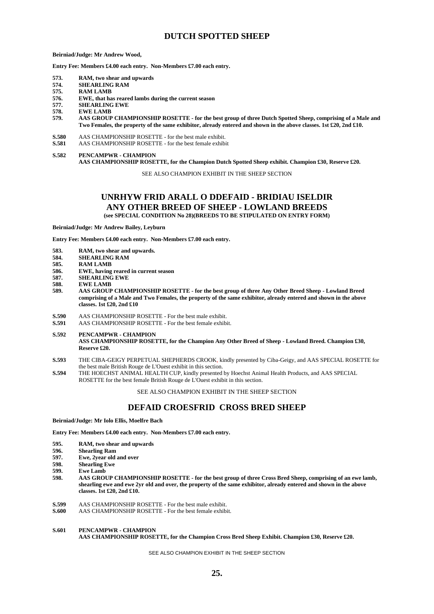### **DUTCH SPOTTED SHEEP**

**Beirniad/Judge: Mr Andrew Wood,** 

**Entry Fee: Members £4.00 each entry. Non-Members £7.00 each entry.**

- **573. RAM, two shear and upwards**
- **574. SHEARLING RAM**
- **575. RAM LAMB**
- **576. EWE, that has reared lambs during the current season**
- **577. SHEARLING EWE**
- **578. EWE LAMB**
- **579. AAS GROUP CHAMPIONSHIP ROSETTE - for the best group of three Dutch Spotted Sheep, comprising of a Male and Two Females, the property of the same exhibitor, already entered and shown in the above classes. 1st £20, 2nd £10.**
- **S.580** AAS CHAMPIONSHIP ROSETTE for the best male exhibit.
- **S.581** AAS CHAMPIONSHIP ROSETTE for the best female exhibit
- **S.582 PENCAMPWR - CHAMPION AAS CHAMPIONSHIP ROSETTE, for the Champion Dutch Spotted Sheep exhibit. Champion £30, Reserve £20.**

SEE ALSO CHAMPION EXHIBIT IN THE SHEEP SECTION

### **UNRHYW FRID ARALL O DDEFAID - BRIDIAU ISELDIR ANY OTHER BREED OF SHEEP - LOWLAND BREEDS (see SPECIAL CONDITION No 28)(BREEDS TO BE STIPULATED ON ENTRY FORM)**

**Beirniad/Judge: Mr Andrew Bailey, Leyburn**

**Entry Fee: Members £4.00 each entry. Non-Members £7.00 each entry.**

- **583. RAM, two shear and upwards.**
- **584. SHEARLING RAM**
- **585. RAM LAMB**
- **586. EWE, having reared in current season**
- **587. SHEARLING EWE**
- **588. EWE LAMB**
- **589. AAS GROUP CHAMPIONSHIP ROSETTE - for the best group of three Any Other Breed Sheep - Lowland Breed comprising of a Male and Two Females, the property of the same exhibitor, already entered and shown in the above classes. 1st £20, 2nd £10**
- **S.590** AAS CHAMPIONSHIP ROSETTE For the best male exhibit.<br>**S.591** AAS CHAMPIONSHIP ROSETTE For the best female exhib
- **S.591** AAS CHAMPIONSHIP ROSETTE For the best female exhibit.
- **S.592 PENCAMPWR - CHAMPION ASS CHAMPIONSHIP ROSETTE, for the Champion Any Other Breed of Sheep - Lowland Breed. Champion £30, Reserve £20.**
- **S.593** THE CIBA-GEIGY PERPETUAL SHEPHERDS CROOK, kindly presented by Ciba-Geigy, and AAS SPECIAL ROSETTE for the best male British Rouge de L'Ouest exhibit in this section.
- **S.594** THE HOECHST ANIMAL HEALTH CUP, kindly presented by Hoechst Animal Health Products, and AAS SPECIAL ROSETTE for the best female British Rouge de L'Ouest exhibit in this section.

SEE ALSO CHAMPION EXHIBIT IN THE SHEEP SECTION

### **DEFAID CROESFRID CROSS BRED SHEEP**

**Beirniad/Judge: Mr Iolo Ellis, Moelfre Bach**

**Entry Fee: Members £4.00 each entry. Non-Members £7.00 each entry.**

- **595. RAM, two shear and upwards**
- **596. Shearling Ram**
- **597. Ewe, 2year old and over**
- **598. Shearling Ewe**
- **599. Ewe Lamb**
- **598. AAS GROUP CHAMPIONSHIP ROSETTE - for the best group of three Cross Bred Sheep, comprising of an ewe lamb, shearling ewe and ewe 2yr old and over, the property of the same exhibitor, already entered and shown in the above classes. 1st £20, 2nd £10.**
- **S.599** AAS CHAMPIONSHIP ROSETTE For the best male exhibit.
- **S.600** AAS CHAMPIONSHIP ROSETTE For the best female exhibit.

### **S.601 PENCAMPWR - CHAMPION AAS CHAMPIONSHIP ROSETTE, for the Champion Cross Bred Sheep Exhibit. Champion £30, Reserve £20.**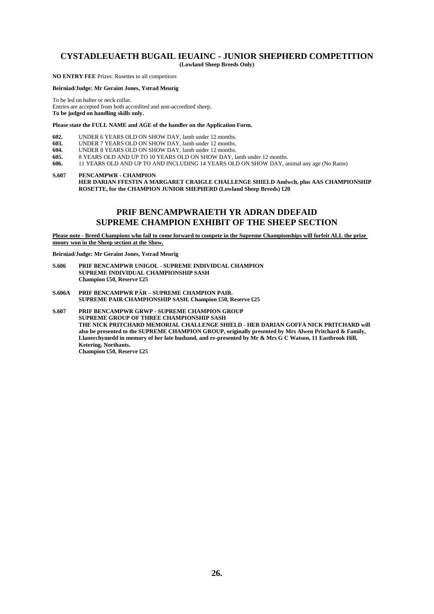# **CYSTADLEUAETH BUGAIL IEUAINC - JUNIOR SHEPHERD COMPETITION**

**(Lowland Sheep Breeds Only)**

**NO ENTRY FEE** Prizes: Rosettes to all competitors

**Beirniad/Judge: Mr Geraint Jones, Ystrad Meurig**

To be led on halter or neck collar.

Entries are accepted from both accredited and non-accredited sheep. **To be judged on handling skills only.** 

### **Please state the FULL NAME and AGE of the handler on the Application Form.**

- **602.** UNDER 6 YEARS OLD ON SHOW DAY, lamb under 12 months.<br>**603.** UNDER 7 YEARS OLD ON SHOW DAY, lamb under 12 months. **603.** UNDER 7 YEARS OLD ON SHOW DAY, lamb under 12 months.<br>**604.** UNDER 8 YEARS OLD ON SHOW DAY, lamb under 12 months.
- 
- **604.** UNDER 8 YEARS OLD ON SHOW DAY, lamb under 12 months.<br>**605.** 8 YEARS OLD AND UP TO 10 YEARS OLD ON SHOW DAY, la
- **605.** 8 YEARS OLD AND UP TO 10 YEARS OLD ON SHOW DAY, lamb under 12 months. **606.** 11 YEARS OLD AND UP TO AND INCLUDING 14 YEARS OLD ON SHOW DAY, animal any age (No Rams)

**S.607 PENCAMPWR - CHAMPION**

**HER DARIAN FFESTIN A MARGARET CRAIGLE CHALLENGE SHIELD Amlwch, plus AAS CHAMPIONSHIP ROSETTE, for the CHAMPION JUNIOR SHEPHERD (Lowland Sheep Breeds) £20**

### **PRIF BENCAMPWRAIETH YR ADRAN DDEFAID SUPREME CHAMPION EXHIBIT OF THE SHEEP SECTION**

**Please note - Breed Champions who fail to come forward to compete in the Supreme Championships will forfeit ALL the prize money won in the Sheep section at the Show.**

**Beirniad/Judge: Mr Geraint Jones, Ystrad Meurig**

- **S.606 PRIF BENCAMPWR UNIGOL - SUPREME INDIVIDUAL CHAMPION SUPREME INDIVIDUAL CHAMPIONSHIP SASH Champion £50, Reserve £25**
- **S.606A PRIF BENCAMPWR PȂR – SUPREME CHAMPION PAIR. SUPREME PAIR CHAMPIONSHIP SASH. Champion £50, Reserve £25**
- **S.607 PRIF BENCAMPWR GRWP - SUPREME CHAMPION GROUP SUPREME GROUP OF THREE CHAMPIONSHIP SASH THE NICK PRITCHARD MEMORIAL CHALLENGE SHIELD - HER DARIAN GOFFA NICK PRITCHARD will also be presented to the SUPREME CHAMPION GROUP, originally presented by Mrs Alwen Pritchard & Family, Llanerchymedd in memory of her late husband, and re-presented by Mr & Mrs G C Watson, 11 Eastbrook Hill, Ketering, Northants. Champion £50, Reserve £25**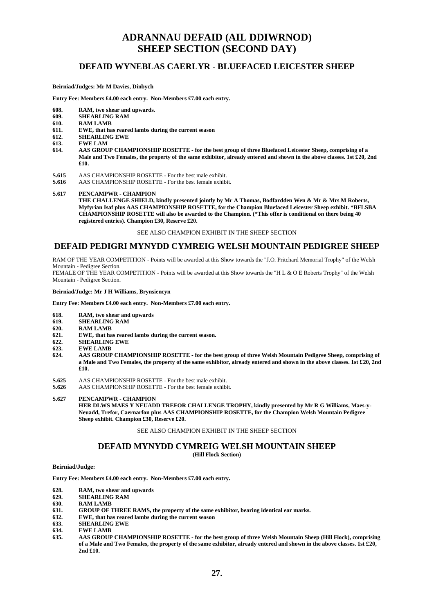## **ADRANNAU DEFAID (AIL DDIWRNOD) SHEEP SECTION (SECOND DAY)**

### **DEFAID WYNEBLAS CAERLYR - BLUEFACED LEICESTER SHEEP**

### **Beirniad/Judges: Mr M Davies, Dinbych**

**Entry Fee: Members £4.00 each entry. Non-Members £7.00 each entry.**

- **608. RAM, two shear and upwards.**
- **609. SHEARLING RAM**
- **610. RAM LAMB**
- **611. EWE, that has reared lambs during the current season**
- **612. SHEARLING EWE**
- **613. EWE LAM**
- **614. AAS GROUP CHAMPIONSHIP ROSETTE - for the best group of three Bluefaced Leicester Sheep, comprising of a Male and Two Females, the property of the same exhibitor, already entered and shown in the above classes. 1st £20, 2nd £10.**
- **S.615** AAS CHAMPIONSHIP ROSETTE For the best male exhibit.<br>**S.616** AAS CHAMPIONSHIP ROSETTE For the best female exhibi
- **S.616** AAS CHAMPIONSHIP ROSETTE For the best female exhibit.

### **S.617 PENCAMPWR - CHAMPION**

THE CHALLENGE SHIELD, kindly presented jointly by Mr A Thomas, Bodfardden Wen & Mr & Mrs M Roberts, **Myfyrian Isaf plus AAS CHAMPIONSHIP ROSETTE, for the Champion Bluefaced Leicester Sheep exhibit. \*BFLSBA CHAMPIONSHIP ROSETTE will also be awarded to the Champion. (\*This offer is conditional on there being 40 registered entries). Champion £30, Reserve £20.**

SEE ALSO CHAMPION EXHIBIT IN THE SHEEP SECTION

### **DEFAID PEDIGRI MYNYDD CYMREIG WELSH MOUNTAIN PEDIGREE SHEEP**

RAM OF THE YEAR COMPETITION - Points will be awarded at this Show towards the "J.O. Pritchard Memorial Trophy" of the Welsh Mountain - Pedigree Section.

FEMALE OF THE YEAR COMPETITION - Points will be awarded at this Show towards the "H L & O E Roberts Trophy" of the Welsh Mountain - Pedigree Section.

#### **Beirniad/Judge: Mr J H Williams, Brynsiencyn**

**Entry Fee: Members £4.00 each entry. Non-Members £7.00 each entry.**

- **618. RAM, two shear and upwards**
- **619. SHEARLING RAM**
- **620. RAM LAMB**
- **621. EWE, that has reared lambs during the current season.**
- **622. SHEARLING EWE**
- **623. EWE LAMB**
- **624. AAS GROUP CHAMPIONSHIP ROSETTE - for the best group of three Welsh Mountain Pedigree Sheep, comprising of a Male and Two Females, the property of the same exhibitor, already entered and shown in the above classes. 1st £20, 2nd £10.**
- **S.625** AAS CHAMPIONSHIP ROSETTE For the best male exhibit.<br>**S.626** AAS CHAMPIONSHIP ROSETTE For the best female exhib
- **S.626** AAS CHAMPIONSHIP ROSETTE For the best female exhibit.

**S.627 PENCAMPWR - CHAMPION**

**HER DLWS MAES Y NEUADD TREFOR CHALLENGE TROPHY, kindly presented by Mr R G Williams, Maes-y-Neuadd, Trefor, Caernarfon plus AAS CHAMPIONSHIP ROSETTE, for the Champion Welsh Mountain Pedigree Sheep exhibit. Champion £30, Reserve £20.**

### SEE ALSO CHAMPION EXHIBIT IN THE SHEEP SECTION

### **DEFAID MYNYDD CYMREIG WELSH MOUNTAIN SHEEP (Hill Flock Section)**

### **Beirniad/Judge:**

**Entry Fee: Members £4.00 each entry. Non-Members £7.00 each entry.**

- **628. RAM, two shear and upwards**
- **629. SHEARLING RAM**
- **630. RAM LAMB**
- **631. GROUP OF THREE RAMS, the property of the same exhibitor, bearing identical ear marks.**
- **632. EWE, that has reared lambs during the current season**
- **633. SHEARLING EWE**
- **634. EWE LAMB**
- **635. AAS GROUP CHAMPIONSHIP ROSETTE - for the best group of three Welsh Mountain Sheep (Hill Flock), comprising of a Male and Two Females, the property of the same exhibitor, already entered and shown in the above classes. 1st £20, 2nd £10.**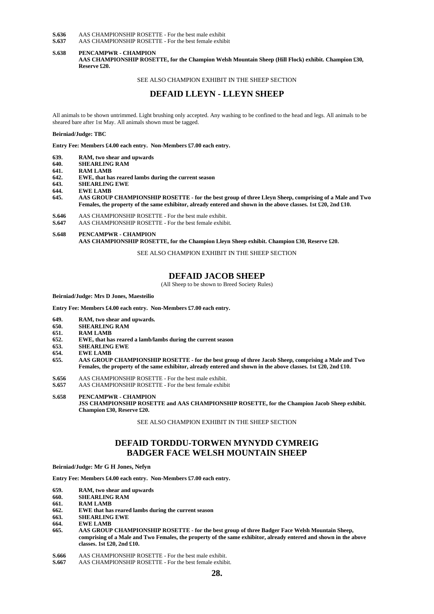**S.636** AAS CHAMPIONSHIP ROSETTE - For the best male exhibit **S.637** AAS CHAMPIONSHIP ROSETTE - For the best female exhibit

**S.637** AAS CHAMPIONSHIP ROSETTE - For the best female exhibit

### **S.638 PENCAMPWR - CHAMPION AAS CHAMPIONSHIP ROSETTE, for the Champion Welsh Mountain Sheep (Hill Flock) exhibit. Champion £30, Reserve £20.**

#### SEE ALSO CHAMPION EXHIBIT IN THE SHEEP SECTION

### **DEFAID LLEYN - LLEYN SHEEP**

All animals to be shown untrimmed. Light brushing only accepted. Any washing to be confined to the head and legs. All animals to be sheared bare after 1st May. All animals shown must be tagged.

**Beirniad/Judge: TBC**

**Entry Fee: Members £4.00 each entry. Non-Members £7.00 each entry.**

- **639. RAM, two shear and upwards**
- **640. SHEARLING RAM**
- *RAM LAMB*
- **642. EWE, that has reared lambs during the current season**
- **643. SHEARLING EWE**
- **644. EWE LAMB**
- **645. AAS GROUP CHAMPIONSHIP ROSETTE - for the best group of three Lleyn Sheep, comprising of a Male and Two Females, the property of the same exhibitor, already entered and shown in the above classes. 1st £20, 2nd £10.**
- **S.646** AAS CHAMPIONSHIP ROSETTE For the best male exhibit.<br> **S.647** AAS CHAMPIONSHIP ROSETTE For the best female exhibi
- **S.647** AAS CHAMPIONSHIP ROSETTE For the best female exhibit.
- **S.648 PENCAMPWR - CHAMPION**

**AAS CHAMPIONSHIP ROSETTE, for the Champion Lleyn Sheep exhibit. Champion £30, Reserve £20.**

SEE ALSO CHAMPION EXHIBIT IN THE SHEEP SECTION

### **DEFAID JACOB SHEEP**

(All Sheep to be shown to Breed Society Rules)

**Beirniad/Judge: Mrs D Jones, Maesteilio**

**Entry Fee: Members £4.00 each entry. Non-Members £7.00 each entry.**

- **649. RAM, two shear and upwards.**
- **650. SHEARLING RAM**
- 
- **651. RAM LAMB 652. EWE, that has reared a lamb/lambs during the current season**
- **653. SHEARLING EWE**
- **654. EWE LAMB**
- **655. AAS GROUP CHAMPIONSHIP ROSETTE - for the best group of three Jacob Sheep, comprising a Male and Two Females, the property of the same exhibitor, already entered and shown in the above classes. 1st £20, 2nd £10.**
- **S.656** AAS CHAMPIONSHIP ROSETTE For the best male exhibit.<br>**S.657** AAS CHAMPIONSHIP ROSETTE For the best female exhib
- **S.657** AAS CHAMPIONSHIP ROSETTE For the best female exhibit
- **S.658 PENCAMPWR - CHAMPION JSS CHAMPIONSHIP ROSETTE and AAS CHAMPIONSHIP ROSETTE, for the Champion Jacob Sheep exhibit. Champion £30, Reserve £20.**

SEE ALSO CHAMPION EXHIBIT IN THE SHEEP SECTION

### **DEFAID TORDDU-TORWEN MYNYDD CYMREIG BADGER FACE WELSH MOUNTAIN SHEEP**

**Beirniad/Judge: Mr G H Jones, Nefyn**

**Entry Fee: Members £4.00 each entry. Non-Members £7.00 each entry.**

- **659. RAM, two shear and upwards**
- **660. SHEARLING RAM**
- **661. RAM LAMB**
- **662. EWE that has reared lambs during the current season**
- **663. SHEARLING EWE**
- **664. EWE LAMB**
- **665. AAS GROUP CHAMPIONSHIP ROSETTE - for the best group of three Badger Face Welsh Mountain Sheep, comprising of a Male and Two Females, the property of the same exhibitor, already entered and shown in the above classes. 1st £20, 2nd £10.**
- **S.666** AAS CHAMPIONSHIP ROSETTE For the best male exhibit.<br>**S.667** AAS CHAMPIONSHIP ROSETTE For the best female exhib
- **S.667** AAS CHAMPIONSHIP ROSETTE For the best female exhibit.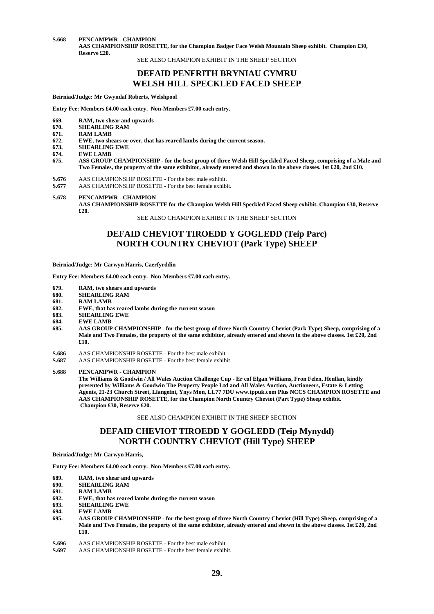**S.668 PENCAMPWR - CHAMPION**

**AAS CHAMPIONSHIP ROSETTE, for the Champion Badger Face Welsh Mountain Sheep exhibit. Champion £30, Reserve £20.**

SEE ALSO CHAMPION EXHIBIT IN THE SHEEP SECTION

### **DEFAID PENFRITH BRYNIAU CYMRU WELSH HILL SPECKLED FACED SHEEP**

**Beirniad/Judge: Mr Gwyndaf Roberts, Welshpool**

**Entry Fee: Members £4.00 each entry. Non-Members £7.00 each entry.**

- **669. RAM, two shear and upwards**
- **670. SHEARLING RAM**
- **671. RAM LAMB**
- **672. EWE, two shears or over, that has reared lambs during the current season.**
- **673. SHEARLING EWE**
- **674. EWE LAMB**
- **675. ASS GROUP CHAMPIONSHIP - for the best group of three Welsh Hill Speckled Faced Sheep, comprising of a Male and Two Females, the property of the same exhibitor, already entered and shown in the above classes. 1st £20, 2nd £10.**
- **S.676** AAS CHAMPIONSHIP ROSETTE For the best male exhibit.<br>**S.677** AAS CHAMPIONSHIP ROSETTE For the best female exhib
- **S.677** AAS CHAMPIONSHIP ROSETTE For the best female exhibit.
- **S.678 PENCAMPWR - CHAMPION**

SEE ALSO CHAMPION EXHIBIT IN THE SHEEP SECTION

### **DEFAID CHEVIOT TIROEDD Y GOGLEDD (Teip Parc) NORTH COUNTRY CHEVIOT (Park Type) SHEEP**

**Beirniad/Judge: Mr Carwyn Harris, Caerfyrddin**

**Entry Fee: Members £4.00 each entry. Non-Members £7.00 each entry.**

- **679. RAM, two shears and upwards**
- **680. SHEARLING RAM**
- **681. RAM LAMB**
- **682. EWE, that has reared lambs during the current season**
- **683. SHEARLING EWE**
- **684. EWE LAMB**<br>**685. AAS GROUP**
- **685. AAS GROUP CHAMPIONSHIP - for the best group of three North Country Cheviot (Park Type) Sheep, comprising of a Male and Two Females, the property of the same exhibitor, already entered and shown in the above classes. 1st £20, 2nd £10.**
- **S.686** AAS CHAMPIONSHIP ROSETTE For the best male exhibit
- **S.687** AAS CHAMPIONSHIP ROSETTE For the best female exhibit

**S.688 PENCAMPWR - CHAMPION**

**The Williams & Goodwin / All Wales Auction Challenge Cup - Er cof Elgan Williams, Fron Felen, Henllan, kindly presented by Williams & Goodwin The Property People Ltd and All Wales Auction, Auctioneers, Estate & Letting Agents, 21-23 Church Street, Llangefni, Ynys Mon, LL77 7DU www.tppuk.com Plus NCCS CHAMPION ROSETTE and AAS CHAMPIONSHIP ROSETTE, for the Champion North Country Cheviot (Part Type) Sheep exhibit. Champion £30, Reserve £20.**

SEE ALSO CHAMPION EXHIBIT IN THE SHEEP SECTION

### **DEFAID CHEVIOT TIROEDD Y GOGLEDD (Teip Mynydd) NORTH COUNTRY CHEVIOT (Hill Type) SHEEP**

**Beirniad/Judge: Mr Carwyn Harris,** 

**Entry Fee: Members £4.00 each entry. Non-Members £7.00 each entry.**

- **689. RAM, two shear and upwards**
- **690. SHEARLING RAM**
- **691. RAM LAMB**
- **692. EWE, that has reared lambs during the current season**
- **693. SHEARLING EWE**
- **694. EWE LAMB**
- **695. AAS GROUP CHAMPIONSHIP - for the best group of three North Country Cheviot (Hill Type) Sheep, comprising of a Male and Two Females, the property of the same exhibitor, already entered and shown in the above classes. 1st £20, 2nd £10.**
- **S.696** AAS CHAMPIONSHIP ROSETTE For the best male exhibit **S.697** AAS CHAMPIONSHIP ROSETTE For the best female exhibit
- **S.697** AAS CHAMPIONSHIP ROSETTE For the best female exhibit.

**AAS CHAMPIONSHIP ROSETTE for the Champion Welsh Hill Speckled Faced Sheep exhibit. Champion £30, Reserve £20.**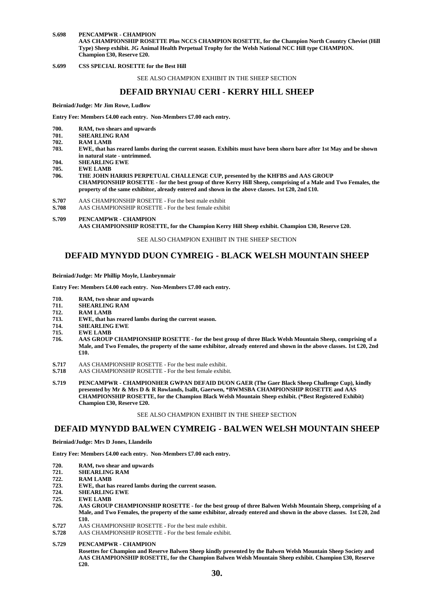#### **S.698 PENCAMPWR - CHAMPION AAS CHAMPIONSHIP ROSETTE Plus NCCS CHAMPION ROSETTE, for the Champion North Country Cheviot (Hill Type) Sheep exhibit. JG Animal Health Perpetual Trophy for the Welsh National NCC Hill type CHAMPION. Champion £30, Reserve £20.**

**S.699 CSS SPECIAL ROSETTE for the Best Hill**

SEE ALSO CHAMPION EXHIBIT IN THE SHEEP SECTION

### **DEFAID BRYNIAU CERI - KERRY HILL SHEEP**

**Beirniad/Judge: Mr Jim Rowe, Ludlow**

**Entry Fee: Members £4.00 each entry. Non-Members £7.00 each entry.**

- **700. RAM, two shears and upwards**
- **701. SHEARLING RAM**
- **702. RAM LAMB**
- **703. EWE, that has reared lambs during the current season. Exhibits must have been shorn bare after 1st May and be shown in natural state - untrimmed.**
- **704. SHEARLING EWE**
- 
- **705. EWE LAMB** THE JOHN HARRIS PERPETUAL CHALLENGE CUP, presented by the KHFBS and AAS GROUP **CHAMPIONSHIP ROSETTE - for the best group of three Kerry Hill Sheep, comprising of a Male and Two Females, the property of the same exhibitor, already entered and shown in the above classes. 1st £20, 2nd £10.**
- **S.707** AAS CHAMPIONSHIP ROSETTE For the best male exhibit
- **S.708** AAS CHAMPIONSHIP ROSETTE For the best female exhibit
- **S.709 PENCAMPWR - CHAMPION AAS CHAMPIONSHIP ROSETTE, for the Champion Kerry Hill Sheep exhibit. Champion £30, Reserve £20.**

#### SEE ALSO CHAMPION EXHIBIT IN THE SHEEP SECTION

### **DEFAID MYNYDD DUON CYMREIG - BLACK WELSH MOUNTAIN SHEEP**

**Beirniad/Judge: Mr Phillip Moyle, Llanbrynmair**

**Entry Fee: Members £4.00 each entry. Non-Members £7.00 each entry.**

- **710. RAM, two shear and upwards**
- **711. SHEARLING RAM**
- **712. RAM LAMB**
- **713. EWE, that has reared lambs during the current season.**
- **714. SHEARLING EWE**
- 
- **715. EWE LAMB 716. AAS GROUP CHAMPIONSHIP ROSETTE - for the best group of three Black Welsh Mountain Sheep, comprising of a Male, and Two Females, the property of the same exhibitor, already entered and shown in the above classes. 1st £20, 2nd £10.**
- **S.717** AAS CHAMPIONSHIP ROSETTE For the best male exhibit.
- **S.718** AAS CHAMPIONSHIP ROSETTE For the best female exhibit.
- **S.719 PENCAMPWR - CHAMPIONHER GWPAN DEFAID DUON GAER (The Gaer Black Sheep Challenge Cup), kindly presented by Mr & Mrs D & R Rowlands, Isallt, Gaerwen, \*BWMSBA CHAMPIONSHIP ROSETTE and AAS CHAMPIONSHIP ROSETTE, for the Champion Black Welsh Mountain Sheep exhibit. (\*Best Registered Exhibit) Champion £30, Reserve £20.**

#### SEE ALSO CHAMPION EXHIBIT IN THE SHEEP SECTION

### **DEFAID MYNYDD BALWEN CYMREIG - BALWEN WELSH MOUNTAIN SHEEP**

#### **Beirniad/Judge: Mrs D Jones, Llandeilo**

**Entry Fee: Members £4.00 each entry. Non-Members £7.00 each entry.**

- **720. RAM, two shear and upwards**
- **721. SHEARLING RAM**
- **722. RAM LAMB**
- **723. EWE, that has reared lambs during the current season.**
- **724. SHEARLING EWE**
- **725. EWE LAMB**
- **726. AAS GROUP CHAMPIONSHIP ROSETTE - for the best group of three Balwen Welsh Mountain Sheep, comprising of a Male, and Two Females, the property of the same exhibitor, already entered and shown in the above classes. 1st £20, 2nd £10.**
- **S.727** AAS CHAMPIONSHIP ROSETTE For the best male exhibit.
- **S.728** AAS CHAMPIONSHIP ROSETTE For the best female exhibit.
- **S.729 PENCAMPWR - CHAMPION**

**Rosettes for Champion and Reserve Balwen Sheep kindly presented by the Balwen Welsh Mountain Sheep Society and AAS CHAMPIONSHIP ROSETTE, for the Champion Balwen Welsh Mountain Sheep exhibit. Champion £30, Reserve £20.**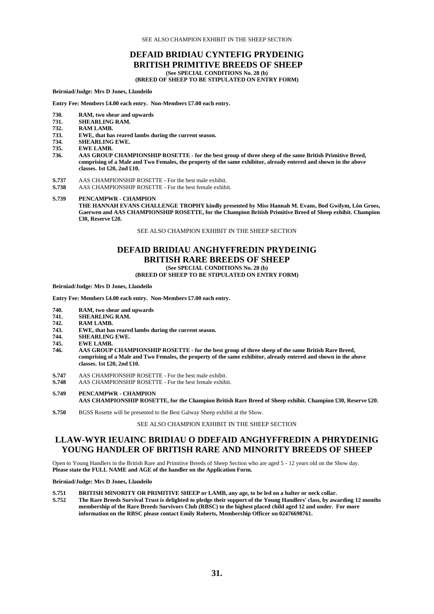SEE ALSO CHAMPION EXHIBIT IN THE SHEEP SECTION

## **DEFAID BRIDIAU CYNTEFIG PRYDEINIG BRITISH PRIMITIVE BREEDS OF SHEEP**

**(See SPECIAL CONDITIONS No. 28 (b)**

**(BREED OF SHEEP TO BE STIPULATED ON ENTRY FORM)**

**Beirniad/Judge: Mrs D Jones, Llandeilo**

**Entry Fee: Members £4.00 each entry. Non-Members £7.00 each entry.**

- **730. RAM, two shear and upwards**
- **731. SHEARLING RAM.**
- **732. RAM LAMB.**
- **733. EWE, that has reared lambs during the current season.**
- **734. SHEARLING EWE.**
- **735. EWE LAMB.**
- **736. AAS GROUP CHAMPIONSHIP ROSETTE - for the best group of three sheep of the same British Primitive Breed, comprising of a Male and Two Females, the property of the same exhibitor, already entered and shown in the above classes. 1st £20, 2nd £10.**
- **S.737** AAS CHAMPIONSHIP ROSETTE For the best male exhibit.<br>**S.738** AAS CHAMPIONSHIP ROSETTE For the best female exhibi
- **S.738** AAS CHAMPIONSHIP ROSETTE For the best female exhibit.
- **S.739 PENCAMPWR - CHAMPION**

**THE HANNAH EVANS CHALLENGE TROPHY kindly presented by Miss Hannah M. Evans, Bod Gwilym, Lôn Groes, Gaerwen and AAS CHAMPIONSHIP ROSETTE, for the Champion British Primitive Breed of Sheep exhibit. Champion £30, Reserve £20.**

SEE ALSO CHAMPION EXHIBIT IN THE SHEEP SECTION

### **DEFAID BRIDIAU ANGHYFFREDIN PRYDEINIG BRITISH RARE BREEDS OF SHEEP (See SPECIAL CONDITIONS No. 28 (b)**

### **(BREED OF SHEEP TO BE STIPULATED ON ENTRY FORM)**

**Beirniad/Judge: Mrs D Jones, Llandeilo**

**Entry Fee: Members £4.00 each entry. Non-Members £7.00 each entry.**

- **740. RAM, two shear and upwards**
- **741. SHEARLING RAM.**
- **742. RAM LAMB.**
- **743. EWE, that has reared lambs during the current season.**
- **744. SHEARLING EWE.**
- **745. EWE LAMB.**
- **746. AAS GROUP CHAMPIONSHIP ROSETTE - for the best group of three sheep of the same British Rare Breed, comprising of a Male and Two Females, the property of the same exhibitor, already entered and shown in the above classes. 1st £20, 2nd £10.**
- **S.747** AAS CHAMPIONSHIP ROSETTE For the best male exhibit.
- **S.748** AAS CHAMPIONSHIP ROSETTE For the best female exhibit.
- **S.749 PENCAMPWR - CHAMPION AAS CHAMPIONSHIP ROSETTE, for the Champion British Rare Breed of Sheep exhibit. Champion £30, Reserve £20.**
- **S.750** BGSS Rosette will be presented to the Best Galway Sheep exhibit at the Show.

SEE ALSO CHAMPION EXHIBIT IN THE SHEEP SECTION

### **LLAW-WYR IEUAINC BRIDIAU O DDEFAID ANGHYFFREDIN A PHRYDEINIG YOUNG HANDLER OF BRITISH RARE AND MINORITY BREEDS OF SHEEP**

Open to Young Handlers in the British Rare and Primitive Breeds of Sheep Section who are aged 5 - 12 years old on the Show day. **Please state the FULL NAME and AGE of the handler on the Application Form.**

#### **Beirniad/Judge: Mrs D Jones, Llandeilo**

- **S.751 BRITISH MINORITY OR PRIMITIVE SHEEP or LAMB, any age, to be led on a halter or neck collar.**
- **S.752 The Rare Breeds Survival Trust is delighted to pledge their support of the Young Handlers' class, by awarding 12 months membership of the Rare Breeds Survivors Club (RBSC) to the highest placed child aged 12 and under. For more information on the RBSC please contact Emily Roberts, Membership Officer on 02476698761.**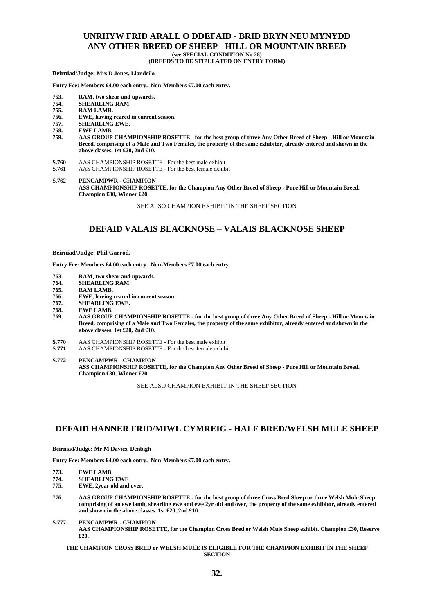### **UNRHYW FRID ARALL O DDEFAID - BRID BRYN NEU MYNYDD ANY OTHER BREED OF SHEEP - HILL OR MOUNTAIN BREED (see SPECIAL CONDITION No 28)**

**(BREEDS TO BE STIPULATED ON ENTRY FORM)**

**Beirniad/Judge: Mrs D Jones, Llandeilo**

**Entry Fee: Members £4.00 each entry. Non-Members £7.00 each entry.**

- **753. RAM, two shear and upwards.**
- **754. SHEARLING RAM**
- **755. RAM LAMB.**
- **756. EWE, having reared in current season.**
- **757. SHEARLING EWE.**
- **758. EWE LAMB.**
- **759. AAS GROUP CHAMPIONSHIP ROSETTE - for the best group of three Any Other Breed of Sheep - Hill or Mountain Breed, comprising of a Male and Two Females, the property of the same exhibitor, already entered and shown in the above classes. 1st £20, 2nd £10.**
- **S.760** AAS CHAMPIONSHIP ROSETTE For the best male exhibit
- **S.761** AAS CHAMPIONSHIP ROSETTE For the best female exhibit
- **S.762 PENCAMPWR - CHAMPION ASS CHAMPIONSHIP ROSETTE, for the Champion Any Other Breed of Sheep - Pure Hill or Mountain Breed. Champion £30, Winner £20.**

SEE ALSO CHAMPION EXHIBIT IN THE SHEEP SECTION

### **DEFAID VALAIS BLACKNOSE – VALAIS BLACKNOSE SHEEP**

#### **Beirniad/Judge: Phil Garrod,**

**Entry Fee: Members £4.00 each entry. Non-Members £7.00 each entry.**

- **763. RAM, two shear and upwards.**
- **764. SHEARLING RAM**
- **RAM LAMB.**
- **766. EWE, having reared in current season.**
- **767. SHEARLING EWE.**
- **768. EWE LAMB.**
- **769. AAS GROUP CHAMPIONSHIP ROSETTE - for the best group of three Any Other Breed of Sheep - Hill or Mountain Breed, comprising of a Male and Two Females, the property of the same exhibitor, already entered and shown in the above classes. 1st £20, 2nd £10.**
- **S.770** AAS CHAMPIONSHIP ROSETTE For the best male exhibit **S.771** AAS CHAMPIONSHIP ROSETTE For the best female exhibit
- **S.771** AAS CHAMPIONSHIP ROSETTE For the best female exhibit
- **S.772 PENCAMPWR - CHAMPION ASS CHAMPIONSHIP ROSETTE, for the Champion Any Other Breed of Sheep - Pure Hill or Mountain Breed. Champion £30, Winner £20.**

SEE ALSO CHAMPION EXHIBIT IN THE SHEEP SECTION

### **DEFAID HANNER FRID/MIWL CYMREIG - HALF BRED/WELSH MULE SHEEP**

**Beirniad/Judge: Mr M Davies, Denbigh**

**Entry Fee: Members £4.00 each entry. Non-Members £7.00 each entry.**

- **773. EWE LAMB**
- **774. SHEARLING EWE**
- **775. EWE, 2year old and over.**
- **776. AAS GROUP CHAMPIONSHIP ROSETTE - for the best group of three Cross Bred Sheep or three Welsh Mule Sheep, comprising of an ewe lamb, shearling ewe and ewe 2yr old and over, the property of the same exhibitor, already entered and shown in the above classes. 1st £20, 2nd £10.**
- **S.777 PENCAMPWR - CHAMPION AAS CHAMPIONSHIP ROSETTE, for the Champion Cross Bred or Welsh Mule Sheep exhibit. Champion £30, Reserve £20.**

### **THE CHAMPION CROSS BRED or WELSH MULE IS ELIGIBLE FOR THE CHAMPION EXHIBIT IN THE SHEEP SECTION**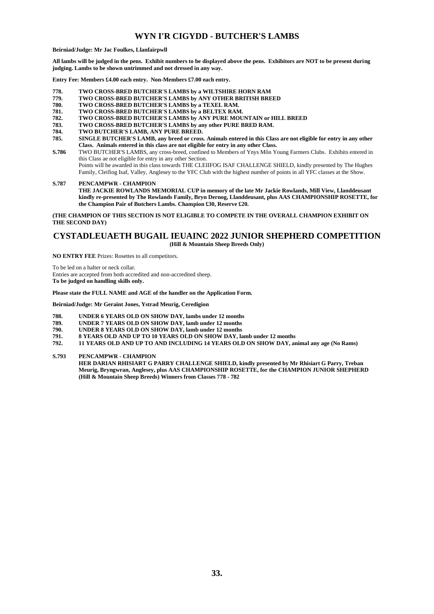### **WYN I'R CIGYDD - BUTCHER'S LAMBS**

#### **Beirniad/Judge: Mr Jac Foulkes, Llanfairpwll**

**All lambs will be judged in the pens. Exhibit numbers to be displayed above the pens. Exhibitors are NOT to be present during judging. Lambs to be shown untrimmed and not dressed in any way.**

**Entry Fee: Members £4.00 each entry. Non-Members £7.00 each entry.**

- **778. TWO CROSS-BRED BUTCHER'S LAMBS by a WILTSHIRE HORN RAM**
- **779. TWO CROSS-BRED BUTCHER'S LAMBS by ANY OTHER BRITISH BREED**
- **780. TWO CROSS-BRED BUTCHER'S LAMBS by a TEXEL RAM.**
- **781. TWO CROSS-BRED BUTCHER'S LAMBS by a BELTEX RAM.**
- **782. TWO CROSS-BRED BUTCHER'S LAMBS by ANY PURE MOUNTAIN or HILL BREED**
- **783. TWO CROSS-BRED BUTCHER'S LAMBS by any other PURE BRED RAM.**
- **784. TWO BUTCHER'S LAMB, ANY PURE BREED.**
- **785. SINGLE BUTCHER'S LAMB, any breed or cross. Animals entered in this Class are not eligible for entry in any other Class. Animals entered in this class are not eligible for entry in any other Class.**
- **S.786** TWO BUTCHER'S LAMBS, any cross-breed, confined to Members of Ynys Môn Young Farmers Clubs. Exhibits entered in this Class ae not eligible for entry in any other Section. Points will be awarded in this class towards THE CLEIIFOG ISAF CHALLENGE SHIELD, kindly presented by The Hughes Family, Cleifiog Isaf, Valley, Anglesey to the YFC Club with the highest number of points in all YFC classes at the Show.

**S.787 PENCAMPWR - CHAMPION THE JACKIE ROWLANDS MEMORIAL CUP in memory of the late Mr Jackie Rowlands, Mill View, Llanddeusant kindly re-presented by The Rowlands Family, Bryn Dernog, Llanddeusant, plus AAS CHAMPIONSHIP ROSETTE, for the Champion Pair of Butchers Lambs. Champion £30, Reserve £20.**

**(THE CHAMPION OF THIS SECTION IS NOT ELIGIBLE TO COMPETE IN THE OVERALL CHAMPION EXHIBIT ON THE SECOND DAY)**

### **CYSTADLEUAETH BUGAIL IEUAINC 2022 JUNIOR SHEPHERD COMPETITION (Hill & Mountain Sheep Breeds Only)**

**NO ENTRY FEE** Prizes: Rosettes to all competitors.

To be led on a halter or neck collar. Entries are accepted from both accredited and non-accredited sheep. **To be judged on handling skills only.** 

**Please state the FULL NAME and AGE of the handler on the Application Form.**

**Beirniad/Judge: Mr Geraint Jones, Ystrad Meurig, Ceredigion**

- **788. UNDER 6 YEARS OLD ON SHOW DAY, lambs under 12 months**
- **789. UNDER 7 YEARS OLD ON SHOW DAY, lamb under 12 months**
- **790. UNDER 8 YEARS OLD ON SHOW DAY, lamb under 12 months**
- **791. 8 YEARS OLD AND UP TO 10 YEARS OLD ON SHOW DAY, lamb under 12 months**
- **792. 11 YEARS OLD AND UP TO AND INCLUDING 14 YEARS OLD ON SHOW DAY, animal any age (No Rams)**

**S.793 PENCAMPWR - CHAMPION**

**HER DARIAN RHISIART G PARRY CHALLENGE SHIELD, kindly presented by Mr Rhisiart G Parry, Treban Meurig, Bryngwran, Anglesey, plus AAS CHAMPIONSHIP ROSETTE, for the CHAMPION JUNIOR SHEPHERD (Hill & Mountain Sheep Breeds) Winners from Classes 778 - 782**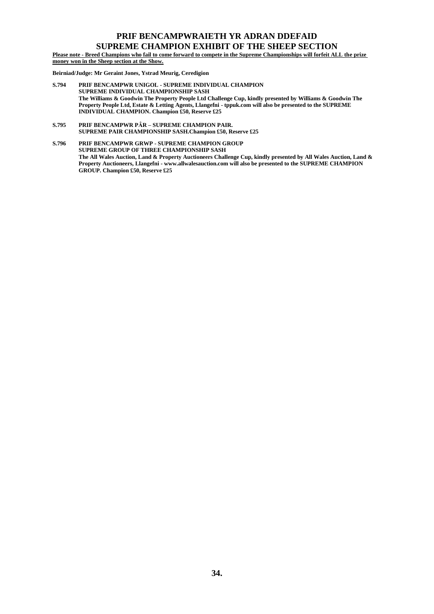### **PRIF BENCAMPWRAIETH YR ADRAN DDEFAID SUPREME CHAMPION EXHIBIT OF THE SHEEP SECTION**

**Please note - Breed Champions who fail to come forward to compete in the Supreme Championships will forfeit ALL the prize money won in the Sheep section at the Show.**

**Beirniad/Judge: Mr Geraint Jones, Ystrad Meurig, Ceredigion**

- **S.794 PRIF BENCAMPWR UNIGOL - SUPREME INDIVIDUAL CHAMPION SUPREME INDIVIDUAL CHAMPIONSHIP SASH The Williams & Goodwin The Property People Ltd Challenge Cup, kindly presented by Williams & Goodwin The Property People Ltd, Estate & Letting Agents, Llangefni - tppuk.com will also be presented to the SUPREME INDIVIDUAL CHAMPION. Champion £50, Reserve £25**
- **S.795 PRIF BENCAMPWR PȂR – SUPREME CHAMPION PAIR. SUPREME PAIR CHAMPIONSHIP SASH.Champion £50, Reserve £25**

**S.796 PRIF BENCAMPWR GRWP - SUPREME CHAMPION GROUP SUPREME GROUP OF THREE CHAMPIONSHIP SASH The All Wales Auction, Land & Property Auctioneers Challenge Cup, kindly presented by All Wales Auction, Land & Property Auctioneers, Llangefni - www.allwalesauction.com will also be presented to the SUPREME CHAMPION GROUP. Champion £50, Reserve £25**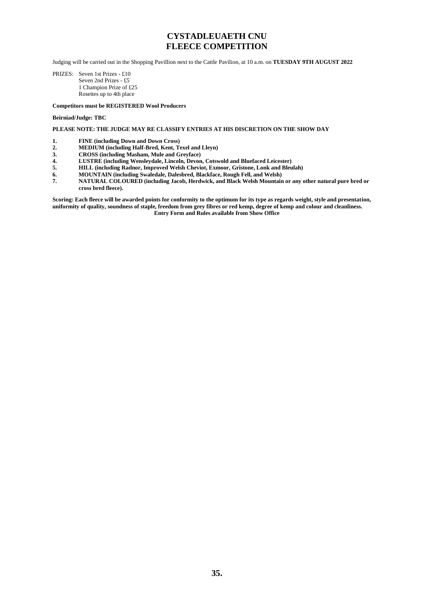### **CYSTADLEUAETH CNU FLEECE COMPETITION**

Judging will be carried out in the Shopping Pavillion next to the Cattle Pavilion, at 10 a.m. on **TUESDAY 9TH AUGUST 2022**

PRIZES: Seven 1st Prizes - £10 Seven 2nd Prizes - £5 1 Champion Prize of £25 Rosettes up to 4th place

### **Competitors must be REGISTERED Wool Producers**

### **Beirniad/Judge: TBC**

**PLEASE NOTE: THE JUDGE MAY RE CLASSIFY ENTRIES AT HIS DISCRETION ON THE SHOW DAY**

- **1. FINE (including Down and Down Cross)**
- **2. MEDIUM (including Half-Bred, Kent, Texel and Lleyn)**
- **3. CROSS (including Masham, Mule and Greyface)**
- **4. LUSTRE (including Wensleydale, Lincoln, Devon, Cotswold and Bluefaced Leicester)**
- **5. HILL (including Radnor, Improved Welsh Cheviot, Exmoor, Gristone, Lonk and Bleulah)**
- **6. MOUNTAIN (including Swaledale, Dalesbred, Blackface, Rough Fell, and Welsh)**
- **7. NATURAL COLOURED (including Jacob, Herdwick, and Black Welsh Mountain or any other natural pure bred or cross bred fleece).**

**Scoring: Each fleece will be awarded points for conformity to the optimum for its type as regards weight, style and presentation, uniformity of quality, soundness of staple, freedom from grey fibres or red kemp, degree of kemp and colour and cleanliness. Entry Form and Rules available from Show Office**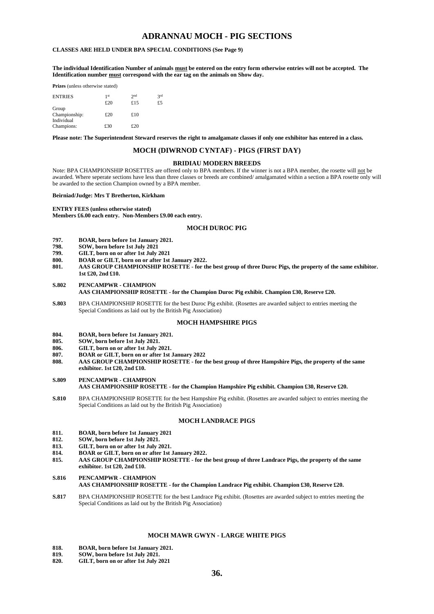### **ADRANNAU MOCH - PIG SECTIONS**

### **CLASSES ARE HELD UNDER BPA SPECIAL CONDITIONS (See Page 9)**

**The individual Identification Number of animals must be entered on the entry form otherwise entries will not be accepted. The Identification number must correspond with the ear tag on the animals on Show day.**

**Prizes** (unless otherwise stated)

| <b>ENTRIES</b>           | 1 <sup>st</sup><br>£20 | 2 <sub>nd</sub><br>£15 | 2rd<br>£5 |
|--------------------------|------------------------|------------------------|-----------|
| Group<br>Championship:   | £20                    | £10                    |           |
| Individual<br>Champions: | £30                    | £20                    |           |

**Please note: The Superintendent Steward reserves the right to amalgamate classes if only one exhibitor has entered in a class.**

### **MOCH (DIWRNOD CYNTAF) - PIGS (FIRST DAY)**

### **BRIDIAU MODERN BREEDS**

Note: BPA CHAMPIONSHIP ROSETTES are offered only to BPA members. If the winner is not a BPA member, the rosette will not be awarded. Where seperate sections have less than three classes or breeds are combined/ amalgamated within a section a BPA rosette only will be awarded to the section Champion owned by a BPA member.

#### **Beirniad/Judge: Mrs T Bretherton, Kirkham**

#### **ENTRY FEES (unless otherwise stated)**

**Members £6.00 each entry. Non-Members £9.00 each entry.**

### **MOCH DUROC PIG**

- **797. BOAR, born before 1st January 2021.**
- **798. SOW, born before 1st July 2021**
- **799. GILT, born on or after 1st July 2021**
- **800. BOAR or GILT, born on or after 1st January 2022.**
- **801. AAS GROUP CHAMPIONSHIP ROSETTE - for the best group of three Duroc Pigs, the property of the same exhibitor. 1st £20, 2nd £10.**

### **S.802 PENCAMPWR - CHAMPION AAS CHAMPIONSHIP ROSETTE - for the Champion Duroc Pig exhibit. Champion £30, Reserve £20.**

**S.803** BPA CHAMPIONSHIP ROSETTE for the best Duroc Pig exhibit. (Rosettes are awarded subject to entries meeting the Special Conditions as laid out by the British Pig Association)

### **MOCH HAMPSHIRE PIGS**

- **804. BOAR, born before 1st January 2021.**
- **805. SOW, born before 1st July 2021.**
- **806. GILT, born on or after 1st July 2021.**
- **807. BOAR or GILT, born on or after 1st January 2022**
- **808. AAS GROUP CHAMPIONSHIP ROSETTE - for the best group of three Hampshire Pigs, the property of the same exhibitor. 1st £20, 2nd £10.**
- **S.809 PENCAMPWR - CHAMPION AAS CHAMPIONSHIP ROSETTE - for the Champion Hampshire Pig exhibit. Champion £30, Reserve £20.**
- **S.810** BPA CHAMPIONSHIP ROSETTE for the best Hampshire Pig exhibit. (Rosettes are awarded subject to entries meeting the Special Conditions as laid out by the British Pig Association)

### **MOCH LANDRACE PIGS**

- **811. BOAR, born before 1st January 2021**
- **812. SOW, born before 1st July 2021.**
- **813. GILT, born on or after 1st July 2021.**
- **814. BOAR or GILT, born on or after 1st January 2022.**
- **815. AAS GROUP CHAMPIONSHIP ROSETTE - for the best group of three Landrace Pigs, the property of the same exhibitor. 1st £20, 2nd £10.**
- **S.816 PENCAMPWR - CHAMPION**
	- **AAS CHAMPIONSHIP ROSETTE - for the Champion Landrace Pig exhibit. Champion £30, Reserve £20.**
- **S.817** BPA CHAMPIONSHIP ROSETTE for the best Landrace Pig exhibit. (Rosettes are awarded subject to entries meeting the Special Conditions as laid out by the British Pig Association)

### **MOCH MAWR GWYN - LARGE WHITE PIGS**

- **818. BOAR, born before 1st January 2021.**
- **819. SOW, born before 1st July 2021.**
- **820. GILT, born on or after 1st July 2021**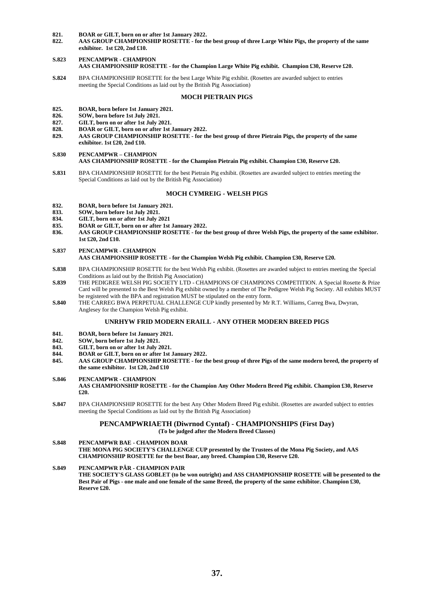# **821. BOAR or GILT, born on or after 1st January 2022.**

**822. AAS GROUP CHAMPIONSHIP ROSETTE - for the best group of three Large White Pigs, the property of the same exhibitor. 1st £20, 2nd £10.**

### **S.823 PENCAMPWR - CHAMPION AAS CHAMPIONSHIP ROSETTE - for the Champion Large White Pig exhibit. Champion £30, Reserve £20.**

**S.824** BPA CHAMPIONSHIP ROSETTE for the best Large White Pig exhibit. (Rosettes are awarded subject to entries meeting the Special Conditions as laid out by the British Pig Association)

#### **MOCH PIETRAIN PIGS**

# **825. BOAR, born before 1st January 2021.**

- **826. SOW, born before 1st July 2021.**
- **827. GILT, born on or after 1st July 2021.**
- **828. BOAR or GILT, born on or after 1st January 2022.**
- **829. AAS GROUP CHAMPIONSHIP ROSETTE - for the best group of three Pietrain Pigs, the property of the same exhibitor. 1st £20, 2nd £10.**
- **S.830 PENCAMPWR – CHAMPION AAS CHAMPIONSHIP ROSETTE - for the Champion Pietrain Pig exhibit. Champion £30, Reserve £20.**
- **S.831** BPA CHAMPIONSHIP ROSETTE for the best Pietrain Pig exhibit. (Rosettes are awarded subject to entries meeting the Special Conditions as laid out by the British Pig Association)

### **MOCH CYMREIG - WELSH PIGS**

# **832. BOAR, born before 1st January 2021.**

- **833. SOW, born before 1st July 2021.**
- **834. GILT, born on or after 1st July 2021**
- **835. BOAR or GILT, born on or after 1st January 2022.**
- **836. AAS GROUP CHAMPIONSHIP ROSETTE - for the best group of three Welsh Pigs, the property of the same exhibitor. 1st £20, 2nd £10.**
- **S.837 PENCAMPWR - CHAMPION AAS CHAMPIONSHIP ROSETTE - for the Champion Welsh Pig exhibit. Champion £30, Reserve £20.**
- **S.838** BPA CHAMPIONSHIP ROSETTE for the best Welsh Pig exhibit. (Rosettes are awarded subject to entries meeting the Special Conditions as laid out by the British Pig Association)
- **S.839** THE PEDIGREE WELSH PIG SOCIETY LTD CHAMPIONS OF CHAMPIONS COMPETITION. A Special Rosette & Prize Card will be presented to the Best Welsh Pig exhibit owned by a member of The Pedigree Welsh Pig Society. All exhibits MUST be registered with the BPA and registration MUST be stipulated on the entry form.
- **S.840** THE CARREG BWA PERPETUAL CHALLENGE CUP kindly presented by Mr R.T. Williams, Carreg Bwa, Dwyran, Anglesey for the Champion Welsh Pig exhibit.

### **UNRHYW FRID MODERN ERAILL - ANY OTHER MODERN BREED PIGS**

- **841. BOAR, born before 1st January 2021.**
- **842. SOW, born before 1st July 2021.**
- **843. GILT, born on or after 1st July 2021.**
- **844. BOAR or GILT, born on or after 1st January 2022.**
- **845. AAS GROUP CHAMPIONSHIP ROSETTE - for the best group of three Pigs of the same modern breed, the property of the same exhibitor. 1st £20, 2nd £10**
- **S.846 PENCAMPWR - CHAMPION**

**AAS CHAMPIONSHIP ROSETTE - for the Champion Any Other Modern Breed Pig exhibit. Champion £30, Reserve £20.**

**S.847** BPA CHAMPIONSHIP ROSETTE for the best Any Other Modern Breed Pig exhibit. (Rosettes are awarded subject to entries meeting the Special Conditions as laid out by the British Pig Association)

### **PENCAMPWRIAETH (Diwrnod Cyntaf) - CHAMPIONSHIPS (First Day) (To be judged after the Modern Breed Classes)**

**S.848 PENCAMPWR BAE - CHAMPION BOAR THE MONA PIG SOCIETY'S CHALLENGE CUP presented by the Trustees of the Mona Pig Society, and AAS CHAMPIONSHIP ROSETTE for the best Boar, any breed. Champion £30, Reserve £20.**

**S.849 PENCAMPWR PÂR - CHAMPION PAIR THE SOCIETY'S GLASS GOBLET (to be won outright) and ASS CHAMPIONSHIP ROSETTE will be presented to the Best Pair of Pigs - one male and one female of the same Breed, the property of the same exhibitor. Champion £30, Reserve £20.**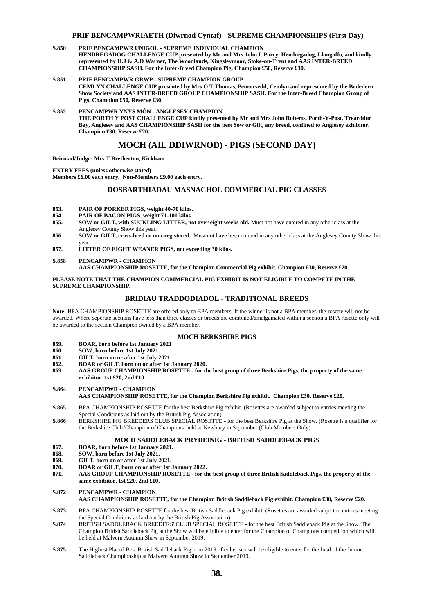### **PRIF BENCAMPWRIAETH (Diwrnod Cyntaf) - SUPREME CHAMPIONSHIPS (First Day)**

- **S.850 PRIF BENCAMPWR UNIGOL - SUPREME INDIVIDUAL CHAMPION HENDREGADOG CHALLENGE CUP presented by Mr and Mrs John I. Parry, Hendregadog, Llangaffo, and kindly represented by H.J & A.D Warner, The Woodlands, Kingsleymoor, Stoke-on-Trent and AAS INTER-BREED CHAMPIONSHIP SASH. For the Inter-Breed Champion Pig. Champion £50, Reserve £30.**
- **S.851 PRIF BENCAMPWR GRWP - SUPREME CHAMPION GROUP CEMLYN CHALLENGE CUP presented by Mrs O T Thomas, Penrorsedd, Cemlyn and represented by the Bodedern Show Society and AAS INTER-BREED GROUP CHAMPIONSHIP SASH. For the Inter-Breed Champion Group of Pigs. Champion £50, Reserve £30.**

**S.852 PENCAMPWR YNYS MÔN - ANGLESEY CHAMPION THE PORTH Y POST CHALLENGE CUP kindly presented by Mr and Mrs John Roberts, Porth-Y-Post, Trearddur Bay, Anglesey and AAS CHAMPIONSHIP SASH for the best Sow or Gilt, any breed, confined to Anglesey exhibitor. Champion £30, Reserve £20.**

### **MOCH (AIL DDIWRNOD) - PIGS (SECOND DAY)**

**Beirniad/Judge: Mrs T Bretherton, Kirkham**

**ENTRY FEES (unless otherwise stated) Members £6.00 each entry. Non-Members £9.00 each entry.**

### **DOSBARTHIADAU MASNACHOL COMMERCIAL PIG CLASSES**

- **853. PAIR OF PORKER PIGS, weight 40-70 kilos.**
- **854. PAIR OF BACON PIGS, weight 71-101 kilos.**
- **855. SOW or GILT, with SUCKLING LITTER, not over eight weeks old.** Must not have entered in any other class at the Anglesey County Show this year.
- **856. SOW or GILT, cross-bred or non-registered.** Must not have been entered in any other class at the Anglesey County Show this year.
- **857. LITTER OF EIGHT WEANER PIGS, not exceeding 30 kilos.**
- **S.858 PENCAMPWR - CHAMPION**

**AAS CHAMPIONSHIP ROSETTE, for the Champion Commercial Pig exhibit. Champion £30, Reserve £20.**

### **PLEASE NOTE THAT THE CHAMPION COMMERCIAL PIG EXHIBIT IS NOT ELIGIBLE TO COMPETE IN THE SUPREME CHAMPIONSHIP.**

### **BRIDIAU TRADDODIADOL - TRADITIONAL BREEDS**

**Note:** BPA CHAMPIONSHIP ROSETTE are offered only to BPA members. If the winner is not a BPA member, the rosette will not be awarded. Where seperate sections have less than three classes or breeds are combined/amalgamated within a section a BPA rosette only will be awarded to the section Champion owned by a BPA member.

### **MOCH BERKSHIRE PIGS**

- **859. BOAR, born before 1st January 2021**
- **860. SOW, born before 1st July 2021.**
- **861. GILT, born on or after 1st July 2021.**
- **862. BOAR or GILT, born on or after 1st January 2020.**
- **863. AAS GROUP CHAMPIONSHIP ROSETTE - for the best group of three Berkshire Pigs, the property of the same exhibitor. 1st £20, 2nd £10.**
- **S.864 PENCAMPWR - CHAMPION**

### **AAS CHAMPIONSHIP ROSETTE, for the Champion Berkshire Pig exhibit. Champion £30, Reserve £20.**

- **S.865** BPA CHAMPIONSHIP ROSETTE for the best Berkshire Pig exhibit. (Rosettes are awarded subject to entries meeting the Special Conditions as laid out by the British Pig Association)
- **S.866** BERKSHIRE PIG BREEDERS CLUB SPECIAL ROSETTE for the best Berkshire Pig at the Show. (Rosette is a qualifier for the Berkshire Club 'Champion of Champions' held at Newbury in September (Club Members Only).

### **MOCH SADDLEBACK PRYDEINIG - BRITISH SADDLEBACK PIGS**

- **867. BOAR, born before 1st January 2021.**
- **868. SOW, born before 1st July 2021.**
- **869. GILT, born on or after 1st July 2021.**
- **870. BOAR or GILT, born on or after 1st January 2022.**
- **871. AAS GROUP CHAMPIONSHIP ROSETTE - for the best group of three British Saddleback Pigs, the property of the same exhibitor. 1st £20, 2nd £10.**
- **S.872 PENCAMPWR - CHAMPION**

### **AAS CHAMPIONSHIP ROSETTE, for the Champion British Saddleback Pig exhibit. Champion £30, Reserve £20.**

- **S.873** BPA CHAMPIONSHIP ROSETTE for the best British Saddleback Pig exhibit. (Rosettes are awarded subject to entries meeting the Special Conditions as laid out by the British Pig Association)
- **S.874** BRITISH SADDLEBACK BREEDERS' CLUB SPECIAL ROSETTE for the best British Saddleback Pig at the Show. The Champion British Saddleback Pig at the Show will be eligible to enter for the Champion of Champions competition which will be held at Malvern Autumn Show in September 2019.
- **S.875** The Highest Placed Best British Saddleback Pig born 2019 of either sex will be eligible to enter for the final of the Junior Saddleback Championship at Malvern Autumn Show in September 2019.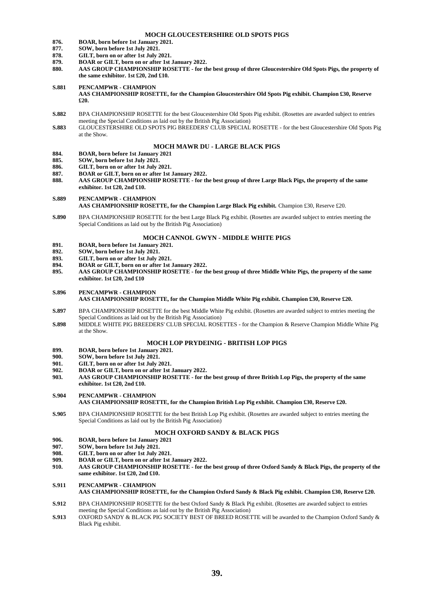### **MOCH GLOUCESTERSHIRE OLD SPOTS PIGS**

- **876. BOAR, born before 1st January 2021.**
- **877. SOW, born before 1st July 2021.**
- **878. GILT, born on or after 1st July 2021.**
- **879. BOAR or GILT, born on or after 1st January 2022.**
- **880. AAS GROUP CHAMPIONSHIP ROSETTE - for the best group of three Gloucestershire Old Spots Pigs, the property of the same exhibitor. 1st £20, 2nd £10.**
- **S.881 PENCAMPWR - CHAMPION AAS CHAMPIONSHIP ROSETTE, for the Champion Gloucestershire Old Spots Pig exhibit. Champion £30, Reserve £20.**
- **S.882** BPA CHAMPIONSHIP ROSETTE for the best Gloucestershire Old Spots Pig exhibit. (Rosettes are awarded subject to entries meeting the Special Conditions as laid out by the British Pig Association)
- **S.883** GLOUCESTERSHIRE OLD SPOTS PIG BREEDERS' CLUB SPECIAL ROSETTE for the best Gloucestershire Old Spots Pig at the Show.

### **MOCH MAWR DU - LARGE BLACK PIGS**

- **884. BOAR, born before 1st January 2021**
- **885. SOW, born before 1st July 2021.**
- **886. GILT, born on or after 1st July 2021.**
- **887. BOAR or GILT, born on or after 1st January 2022.**
- **888. AAS GROUP CHAMPIONSHIP ROSETTE - for the best group of three Large Black Pigs, the property of the same exhibitor. 1st £20, 2nd £10.**

### **S.889 PENCAMPWR - CHAMPION**

### **AAS CHAMPIONSHIP ROSETTE, for the Champion Large Black Pig exhibit.** Champion £30, Reserve £20.

**S.890** BPA CHAMPIONSHIP ROSETTE for the best Large Black Pig exhibit. (Rosettes are awarded subject to entries meeting the Special Conditions as laid out by the British Pig Association)

### **MOCH CANNOL GWYN - MIDDLE WHITE PIGS**

- **891. BOAR, born before 1st January 2021.**
- **892. SOW, born before 1st July 2021.**
- **893. GILT, born on or after 1st July 2021.**
- **894. BOAR or GILT, born on or after 1st January 2022.**
- **895. AAS GROUP CHAMPIONSHIP ROSETTE - for the best group of three Middle White Pigs, the property of the same exhibitor. 1st £20, 2nd £10**

#### **S.896 PENCAMPWR - CHAMPION**

### **AAS CHAMPIONSHIP ROSETTE, for the Champion Middle White Pig exhibit. Champion £30, Reserve £20.**

- **S.897** BPA CHAMPIONSHIP ROSETTE for the best Middle White Pig exhibit. (Rosettes are awarded subject to entries meeting the Special Conditions as laid out by the British Pig Association)
- **S.898** MIDDLE WHITE PIG BREEDERS' CLUB SPECIAL ROSETTES for the Champion & Reserve Champion Middle White Pig at the Show.

#### **MOCH LOP PRYDEINIG - BRITISH LOP PIGS**

- **899. BOAR, born before 1st January 2021.**
- **900. SOW, born before 1st July 2021.**
- **901. GILT, born on or after 1st July 2021.**
- **902. BOAR or GILT, born on or after 1st January 2022.**
- **903. AAS GROUP CHAMPIONSHIP ROSETTE - for the best group of three British Lop Pigs, the property of the same exhibitor. 1st £20, 2nd £10.**

### **S.904 PENCAMPWR - CHAMPION AAS CHAMPIONSHIP ROSETTE, for the Champion British Lop Pig exhibit. Champion £30, Reserve £20.**

**S.905** BPA CHAMPIONSHIP ROSETTE for the best British Lop Pig exhibit. (Rosettes are awarded subject to entries meeting the Special Conditions as laid out by the British Pig Association)

#### **MOCH OXFORD SANDY & BLACK PIGS**

- **906. BOAR, born before 1st January 2021**
- **907. SOW, born before 1st July 2021.**
- 
- **908. GILT, born on or after 1st July 2021. 909. BOAR or GILT, born on or after 1st January 2022.**
- **910. AAS GROUP CHAMPIONSHIP ROSETTE - for the best group of three Oxford Sandy & Black Pigs, the property of the same exhibitor. 1st £20, 2nd £10.**

### **S.911 PENCAMPWR - CHAMPION AAS CHAMPIONSHIP ROSETTE, for the Champion Oxford Sandy & Black Pig exhibit. Champion £30, Reserve £20.**

- **S.912** BPA CHAMPIONSHIP ROSETTE for the best Oxford Sandy & Black Pig exhibit. (Rosettes are awarded subject to entries meeting the Special Conditions as laid out by the British Pig Association)
- **S.913** OXFORD SANDY & BLACK PIG SOCIETY BEST OF BREED ROSETTE will be awarded to the Champion Oxford Sandy & Black Pig exhibit.